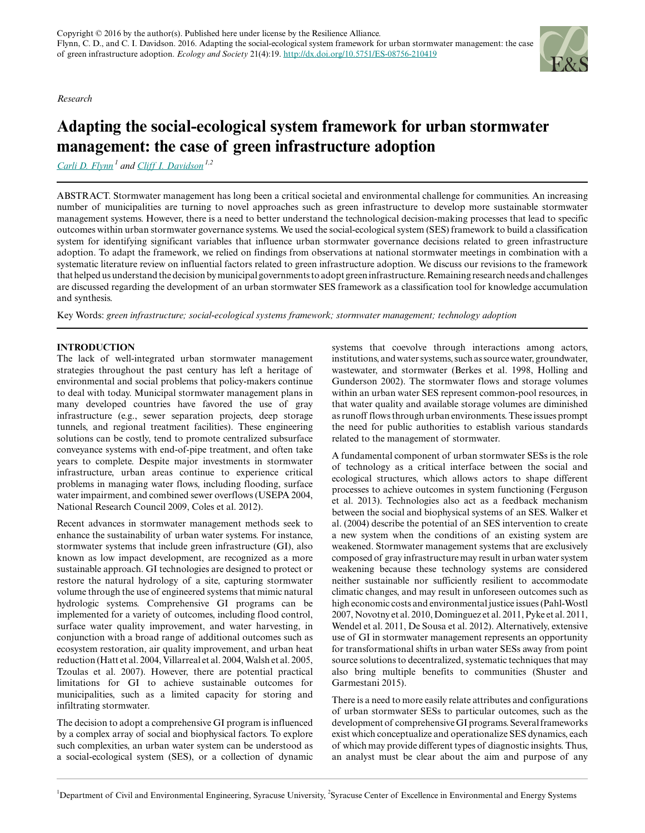*Research*

# **Adapting the social-ecological system framework for urban stormwater management: the case of green infrastructure adoption**

*[Carli D. Flynn](mailto:cflynn@syr.edu)<sup>1</sup> and [Cliff I. Davidson](mailto:davidson@syr.edu) 1,2*

ABSTRACT. Stormwater management has long been a critical societal and environmental challenge for communities. An increasing number of municipalities are turning to novel approaches such as green infrastructure to develop more sustainable stormwater management systems. However, there is a need to better understand the technological decision-making processes that lead to specific outcomes within urban stormwater governance systems. We used the social-ecological system (SES) framework to build a classification system for identifying significant variables that influence urban stormwater governance decisions related to green infrastructure adoption. To adapt the framework, we relied on findings from observations at national stormwater meetings in combination with a systematic literature review on influential factors related to green infrastructure adoption. We discuss our revisions to the framework that helped us understand the decision by municipal governments to adopt green infrastructure. Remaining research needs and challenges are discussed regarding the development of an urban stormwater SES framework as a classification tool for knowledge accumulation and synthesis.

Key Words: *green infrastructure; social-ecological systems framework; stormwater management; technology adoption*

## **INTRODUCTION**

The lack of well-integrated urban stormwater management strategies throughout the past century has left a heritage of environmental and social problems that policy-makers continue to deal with today. Municipal stormwater management plans in many developed countries have favored the use of gray infrastructure (e.g., sewer separation projects, deep storage tunnels, and regional treatment facilities). These engineering solutions can be costly, tend to promote centralized subsurface conveyance systems with end-of-pipe treatment, and often take years to complete. Despite major investments in stormwater infrastructure, urban areas continue to experience critical problems in managing water flows, including flooding, surface water impairment, and combined sewer overflows (USEPA 2004, National Research Council 2009, Coles et al. 2012).

Recent advances in stormwater management methods seek to enhance the sustainability of urban water systems. For instance, stormwater systems that include green infrastructure (GI), also known as low impact development, are recognized as a more sustainable approach. GI technologies are designed to protect or restore the natural hydrology of a site, capturing stormwater volume through the use of engineered systems that mimic natural hydrologic systems. Comprehensive GI programs can be implemented for a variety of outcomes, including flood control, surface water quality improvement, and water harvesting, in conjunction with a broad range of additional outcomes such as ecosystem restoration, air quality improvement, and urban heat reduction (Hatt et al. 2004, Villarreal et al. 2004, Walsh et al. 2005, Tzoulas et al. 2007). However, there are potential practical limitations for GI to achieve sustainable outcomes for municipalities, such as a limited capacity for storing and infiltrating stormwater.

The decision to adopt a comprehensive GI program is influenced by a complex array of social and biophysical factors. To explore such complexities, an urban water system can be understood as a social-ecological system (SES), or a collection of dynamic systems that coevolve through interactions among actors, institutions, and water systems, such as source water, groundwater, wastewater, and stormwater (Berkes et al. 1998, Holling and Gunderson 2002). The stormwater flows and storage volumes within an urban water SES represent common-pool resources, in that water quality and available storage volumes are diminished as runoff flows through urban environments. These issues prompt the need for public authorities to establish various standards related to the management of stormwater.

A fundamental component of urban stormwater SESs is the role of technology as a critical interface between the social and ecological structures, which allows actors to shape different processes to achieve outcomes in system functioning (Ferguson et al. 2013). Technologies also act as a feedback mechanism between the social and biophysical systems of an SES. Walker et al. (2004) describe the potential of an SES intervention to create a new system when the conditions of an existing system are weakened. Stormwater management systems that are exclusively composed of gray infrastructure may result in urban water system weakening because these technology systems are considered neither sustainable nor sufficiently resilient to accommodate climatic changes, and may result in unforeseen outcomes such as high economic costs and environmental justice issues (Pahl-Wostl 2007, Novotny et al. 2010, Dominguez et al. 2011, Pyke et al. 2011, Wendel et al. 2011, De Sousa et al. 2012). Alternatively, extensive use of GI in stormwater management represents an opportunity for transformational shifts in urban water SESs away from point source solutions to decentralized, systematic techniques that may also bring multiple benefits to communities (Shuster and Garmestani 2015).

There is a need to more easily relate attributes and configurations of urban stormwater SESs to particular outcomes, such as the development of comprehensive GI programs. Several frameworks exist which conceptualize and operationalize SES dynamics, each of which may provide different types of diagnostic insights. Thus, an analyst must be clear about the aim and purpose of any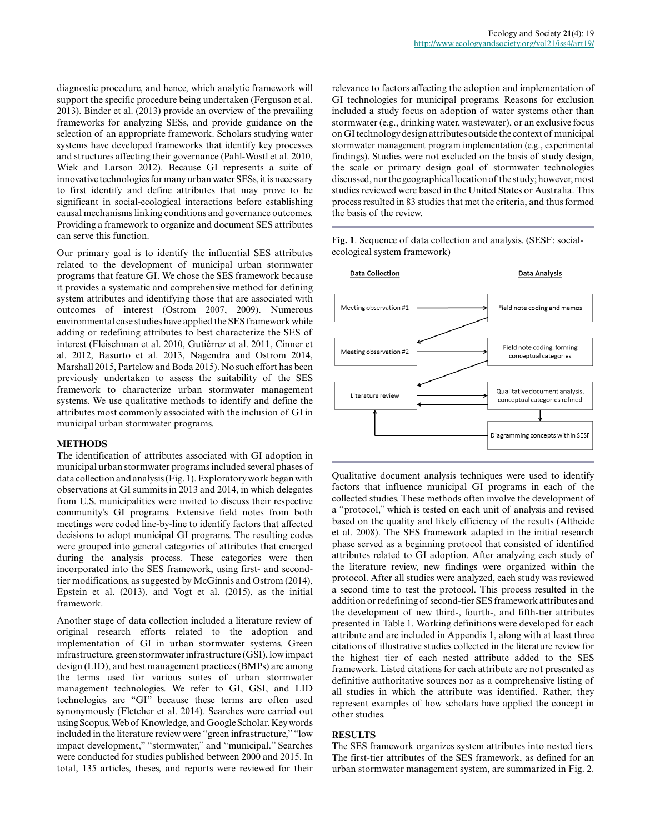diagnostic procedure, and hence, which analytic framework will support the specific procedure being undertaken (Ferguson et al. 2013). Binder et al. (2013) provide an overview of the prevailing frameworks for analyzing SESs, and provide guidance on the selection of an appropriate framework. Scholars studying water systems have developed frameworks that identify key processes and structures affecting their governance (Pahl-Wostl et al. 2010, Wiek and Larson 2012). Because GI represents a suite of innovative technologies for many urban water SESs, it is necessary to first identify and define attributes that may prove to be significant in social-ecological interactions before establishing causal mechanisms linking conditions and governance outcomes. Providing a framework to organize and document SES attributes can serve this function.

Our primary goal is to identify the influential SES attributes related to the development of municipal urban stormwater programs that feature GI. We chose the SES framework because it provides a systematic and comprehensive method for defining system attributes and identifying those that are associated with outcomes of interest (Ostrom 2007, 2009). Numerous environmental case studies have applied the SES framework while adding or redefining attributes to best characterize the SES of interest (Fleischman et al. 2010, Gutiérrez et al. 2011, Cinner et al. 2012, Basurto et al. 2013, Nagendra and Ostrom 2014, Marshall 2015, Partelow and Boda 2015). No such effort has been previously undertaken to assess the suitability of the SES framework to characterize urban stormwater management systems. We use qualitative methods to identify and define the attributes most commonly associated with the inclusion of GI in municipal urban stormwater programs.

### **METHODS**

The identification of attributes associated with GI adoption in municipal urban stormwater programs included several phases of data collection and analysis (Fig. 1). Exploratory work began with observations at GI summits in 2013 and 2014, in which delegates from U.S. municipalities were invited to discuss their respective community's GI programs. Extensive field notes from both meetings were coded line-by-line to identify factors that affected decisions to adopt municipal GI programs. The resulting codes were grouped into general categories of attributes that emerged during the analysis process. These categories were then incorporated into the SES framework, using first- and secondtier modifications, as suggested by McGinnis and Ostrom (2014), Epstein et al. (2013), and Vogt et al. (2015), as the initial framework.

Another stage of data collection included a literature review of original research efforts related to the adoption and implementation of GI in urban stormwater systems. Green infrastructure, green stormwater infrastructure (GSI), low impact design (LID), and best management practices (BMPs) are among the terms used for various suites of urban stormwater management technologies. We refer to GI, GSI, and LID technologies are "GI" because these terms are often used synonymously (Fletcher et al. 2014). Searches were carried out using Scopus, Web of Knowledge, and Google Scholar. Key words included in the literature review were "green infrastructure," "low impact development," "stormwater," and "municipal." Searches were conducted for studies published between 2000 and 2015. In total, 135 articles, theses, and reports were reviewed for their

relevance to factors affecting the adoption and implementation of GI technologies for municipal programs. Reasons for exclusion included a study focus on adoption of water systems other than stormwater (e.g., drinking water, wastewater), or an exclusive focus on GI technology design attributes outside the context of municipal stormwater management program implementation (e.g., experimental findings). Studies were not excluded on the basis of study design, the scale or primary design goal of stormwater technologies discussed, nor the geographical location of the study; however, most studies reviewed were based in the United States or Australia. This process resulted in 83 studies that met the criteria, and thus formed the basis of the review.

**Fig. 1**. Sequence of data collection and analysis. (SESF: socialecological system framework)



Qualitative document analysis techniques were used to identify factors that influence municipal GI programs in each of the collected studies. These methods often involve the development of a "protocol," which is tested on each unit of analysis and revised based on the quality and likely efficiency of the results (Altheide et al. 2008). The SES framework adapted in the initial research phase served as a beginning protocol that consisted of identified attributes related to GI adoption. After analyzing each study of the literature review, new findings were organized within the protocol. After all studies were analyzed, each study was reviewed a second time to test the protocol. This process resulted in the addition or redefining of second-tier SES framework attributes and the development of new third-, fourth-, and fifth-tier attributes presented in Table 1. Working definitions were developed for each attribute and are included in Appendix 1, along with at least three citations of illustrative studies collected in the literature review for the highest tier of each nested attribute added to the SES framework. Listed citations for each attribute are not presented as definitive authoritative sources nor as a comprehensive listing of all studies in which the attribute was identified. Rather, they represent examples of how scholars have applied the concept in other studies.

### **RESULTS**

The SES framework organizes system attributes into nested tiers. The first-tier attributes of the SES framework, as defined for an urban stormwater management system, are summarized in Fig. 2.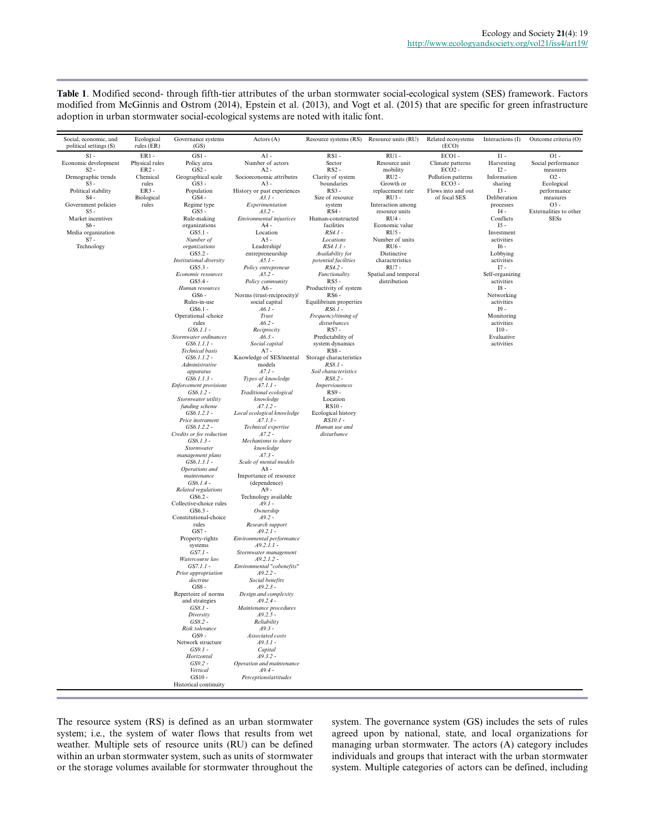**Table 1**. Modified second- through fifth-tier attributes of the urban stormwater social-ecological system (SES) framework. Factors modified from McGinnis and Ostrom (2014), Epstein et al. (2013), and Vogt et al. (2015) that are specific for green infrastructure adoption in urban stormwater social-ecological systems are noted with italic font.

| Social, economic, and<br>political settings (S)                                                                                                                                                                         | Ecological<br>rules $(ER)$                                                                  | Governance systems<br>(GS)                                                                                                                                                                                                                                                                                                                                                                                                                                                                                                                                                                                                                                                                                                                                                                                                                                                                                                                                                       | Actors (A)                                                                                                                                                                                                                                                                                                                                                                                                                                                                                                                                                                                                                                                                                                                                                                                                                                                                                                                                                          | Resource systems (RS) Resource units (RU)                                                                                                                                                                                                                                                                                                                                                                                                                                                                                                                                                                                                                                                    |                                                                                                                                                                                                                                                                                           | Related ecosystems<br>(ECO)                                                                                      | Interactions (I)                                                                                                                                                                                                                                                                                                                                           | Outcome criteria (O)                                                                                                                           |
|-------------------------------------------------------------------------------------------------------------------------------------------------------------------------------------------------------------------------|---------------------------------------------------------------------------------------------|----------------------------------------------------------------------------------------------------------------------------------------------------------------------------------------------------------------------------------------------------------------------------------------------------------------------------------------------------------------------------------------------------------------------------------------------------------------------------------------------------------------------------------------------------------------------------------------------------------------------------------------------------------------------------------------------------------------------------------------------------------------------------------------------------------------------------------------------------------------------------------------------------------------------------------------------------------------------------------|---------------------------------------------------------------------------------------------------------------------------------------------------------------------------------------------------------------------------------------------------------------------------------------------------------------------------------------------------------------------------------------------------------------------------------------------------------------------------------------------------------------------------------------------------------------------------------------------------------------------------------------------------------------------------------------------------------------------------------------------------------------------------------------------------------------------------------------------------------------------------------------------------------------------------------------------------------------------|----------------------------------------------------------------------------------------------------------------------------------------------------------------------------------------------------------------------------------------------------------------------------------------------------------------------------------------------------------------------------------------------------------------------------------------------------------------------------------------------------------------------------------------------------------------------------------------------------------------------------------------------------------------------------------------------|-------------------------------------------------------------------------------------------------------------------------------------------------------------------------------------------------------------------------------------------------------------------------------------------|------------------------------------------------------------------------------------------------------------------|------------------------------------------------------------------------------------------------------------------------------------------------------------------------------------------------------------------------------------------------------------------------------------------------------------------------------------------------------------|------------------------------------------------------------------------------------------------------------------------------------------------|
| $S1 -$<br>Economic development<br>$S2 -$<br>Demographic trends<br>$S3 -$<br>Political stability<br>$S4 -$<br>Government policies<br>$S5 -$<br>Market incentives<br>$S6 -$<br>Media organization<br>$S7 -$<br>Technology | $ER1 -$<br>Physical rules<br>$ER2 -$<br>Chemical<br>rules<br>$ER3 -$<br>Biological<br>rules | $GS1 -$<br>Policy area<br>$GS2 -$<br>Geographical scale<br>$GS3 -$<br>Population<br>$GS4 -$<br>Regime type<br>$GS5 -$<br>Rule-making<br>organizations<br>$GS5.1 -$<br>Number of<br>organizations<br>GS5.2 -<br><b>Institutional diversity</b><br>$GS5.3 -$<br>Economic resources<br>$GS5.4 -$<br>Human resources<br>$GS6 -$<br>Rules-in-use<br>$GS6.1 -$<br>Operational -choice<br>rules<br>$GS6.1.1 -$<br>Stormwater ordinances<br>$GS6.1.1.1 -$<br><b>Technical</b> basis<br>$GS6.1.1.2 -$<br>Administrative<br>apparatus<br>$GS6.1.1.3 -$<br><b>Enforcement</b> provisions<br>$GS6.1.2 -$<br>Stormwater utility<br>funding scheme<br>$GS6.1.2.1 -$<br>Price instrument<br>GS6.1.2.2 -<br>Credits or fee reduction<br>$GS6.1.3 -$<br>Stormwater<br>management plans<br>$GS6.1.3.1 -$<br>Operations and<br>maintenance<br>$GS6.1.4 -$<br>Related regulations<br>$GS6.2 -$<br>Collective-choice rules<br>$GS6.3 -$<br>Constitutional-choice<br>rules<br>GS7 -<br>Property-rights | $A1 -$<br>Number of actors<br>$A2 -$<br>Socioeconomic attributes<br>$A3 -$<br>History or past experiences<br>$A3.1 -$<br>Experimentation<br>$A3.2 -$<br>Environmental injustices<br>$A4 -$<br>Location<br>$A5 -$<br>Leadership/<br>entrepreneurship<br>$A5.1 -$<br>Policy entrepreneur<br>$A5.2 -$<br>Policy community<br>A6 -<br>Norms (trust-reciprocity)/<br>social capital<br>$A6.1 -$<br>Trust<br>$A6.2 -$<br>Reciprocity<br>$A6.3 -$<br>Social capital<br>$A7 -$<br>Knowledge of SES/mental<br>models<br>$A7.1 -$<br>Types of knowledge<br>$A7.1.1 -$<br>Traditional ecological<br>knowledge<br>$A7.1.2 -$<br>Local ecological knowledge<br>$A7.1.3 -$<br>Technical expertise<br>$A7.2 -$<br>Mechanisms to share<br>knowledge<br>$A7.3 -$<br>Scale of mental models<br>$A8 -$<br>Importance of resource<br>(dependence)<br>$A9 -$<br>Technology available<br>$A9.1 -$<br>Ownership<br>$A9.2 -$<br>Research support<br>$A9.2.1 -$<br>Environmental performance | <b>RS1-</b><br>Sector<br>$RS2 -$<br>Clarity of system<br>boundaries<br><b>RS3-</b><br>Size of resource<br>system<br>$RS4 -$<br>Human-constructed<br>facilities<br>RS4.1 -<br>Locations<br>$RS4.1.1 -$<br>Availability for<br>potential facilities<br>RS4.2 -<br>Functionality<br><b>RS5-</b><br>Productivity of system<br>RS6-<br>Equilibrium properties<br>$RS6.1 -$<br>Frequency/timing of<br>disturbances<br><b>RS7-</b><br>Predictability of<br>system dynamics<br><b>RS8-</b><br>Storage characteristics<br>RS8.1 -<br>Soil characteristics<br>RS8.2 -<br><b>Imperviousness</b><br><b>RS9-</b><br>Location<br>RS10-<br>Ecological history<br>$RS10.1 -$<br>Human use and<br>disturbance | $RU1 -$<br>Resource unit<br>mobility<br>$RU2 -$<br>Growth or<br>replacement rate<br>$RU3 -$<br>Interaction among<br>resource units<br>RU4 -<br>Economic value<br><b>RU5-</b><br>Number of units<br>RU6-<br>Distinctive<br>characteristics<br>RU7-<br>Spatial and temporal<br>distribution | $ECO1 -$<br>Climate patterns<br>$ECO2 -$<br>Pollution patterns<br>$ECO3 -$<br>Flows into and out<br>of focal SES | $II -$<br>Harvesting<br>$12 -$<br>Information<br>sharing<br>$I3 -$<br>Deliberation<br>processes<br>$I4 -$<br>Conflicts<br>$15 -$<br>Investment<br>activities<br>I6 -<br>Lobbying<br>activities<br>$17 -$<br>Self-organizing<br>activities<br>I8 -<br>Networking<br>activities<br>$I9 -$<br>Monitoring<br>activities<br>$110 -$<br>Evaluative<br>activities | $O1$ .<br>Social performance<br>measures<br>$O2 -$<br>Ecological<br>performance<br>measures<br>$O3 -$<br>Externalities to other<br><b>SESs</b> |
|                                                                                                                                                                                                                         |                                                                                             |                                                                                                                                                                                                                                                                                                                                                                                                                                                                                                                                                                                                                                                                                                                                                                                                                                                                                                                                                                                  |                                                                                                                                                                                                                                                                                                                                                                                                                                                                                                                                                                                                                                                                                                                                                                                                                                                                                                                                                                     |                                                                                                                                                                                                                                                                                                                                                                                                                                                                                                                                                                                                                                                                                              |                                                                                                                                                                                                                                                                                           |                                                                                                                  |                                                                                                                                                                                                                                                                                                                                                            |                                                                                                                                                |
|                                                                                                                                                                                                                         |                                                                                             | systems<br>$GS7.1 -$<br>Watercourse law<br>GS7.1.1 -                                                                                                                                                                                                                                                                                                                                                                                                                                                                                                                                                                                                                                                                                                                                                                                                                                                                                                                             | $A9.2.1.1 -$<br>Stormwater management<br>$A9.2.1.2 -$<br>Environmental "cobenefits"                                                                                                                                                                                                                                                                                                                                                                                                                                                                                                                                                                                                                                                                                                                                                                                                                                                                                 |                                                                                                                                                                                                                                                                                                                                                                                                                                                                                                                                                                                                                                                                                              |                                                                                                                                                                                                                                                                                           |                                                                                                                  |                                                                                                                                                                                                                                                                                                                                                            |                                                                                                                                                |
|                                                                                                                                                                                                                         |                                                                                             | Prior appropriation<br>doctrine<br>$GS8 -$<br>Repertoire of norms<br>and strategies<br>$GS8.1 -$<br>Diversity<br>$GS8.2 -$<br>Risk tolerance                                                                                                                                                                                                                                                                                                                                                                                                                                                                                                                                                                                                                                                                                                                                                                                                                                     | $A9.2.2 -$<br>Social benefits<br>$A9.2.3 -$<br>Design and complexity<br>A9.2.4 -<br>Maintenance procedures<br>$A9.2.5 -$<br>Reliability<br>$A9.3 -$                                                                                                                                                                                                                                                                                                                                                                                                                                                                                                                                                                                                                                                                                                                                                                                                                 |                                                                                                                                                                                                                                                                                                                                                                                                                                                                                                                                                                                                                                                                                              |                                                                                                                                                                                                                                                                                           |                                                                                                                  |                                                                                                                                                                                                                                                                                                                                                            |                                                                                                                                                |
|                                                                                                                                                                                                                         |                                                                                             | $GS9 -$<br>Network structure<br>$GS9.1 -$<br>Horizontal<br>$GS9.2 -$<br>Vertical<br>GS10-<br>Historical continuity                                                                                                                                                                                                                                                                                                                                                                                                                                                                                                                                                                                                                                                                                                                                                                                                                                                               | Associated costs<br>$A9.3.1 -$<br>Capital<br>$A9.3.2 -$<br>Operation and maintenance<br>$A9.4 -$<br>Perceptionslattitudes                                                                                                                                                                                                                                                                                                                                                                                                                                                                                                                                                                                                                                                                                                                                                                                                                                           |                                                                                                                                                                                                                                                                                                                                                                                                                                                                                                                                                                                                                                                                                              |                                                                                                                                                                                                                                                                                           |                                                                                                                  |                                                                                                                                                                                                                                                                                                                                                            |                                                                                                                                                |

The resource system (RS) is defined as an urban stormwater system; i.e., the system of water flows that results from wet weather. Multiple sets of resource units (RU) can be defined within an urban stormwater system, such as units of stormwater or the storage volumes available for stormwater throughout the system. The governance system (GS) includes the sets of rules agreed upon by national, state, and local organizations for managing urban stormwater. The actors (A) category includes individuals and groups that interact with the urban stormwater system. Multiple categories of actors can be defined, including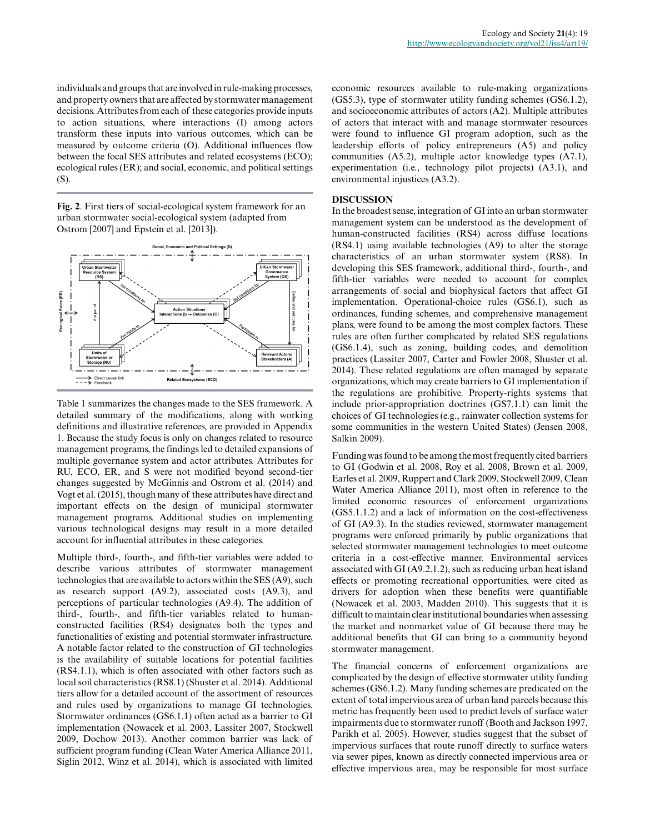individuals and groups that are involved in rule-making processes, and property owners that are affected by stormwater management decisions. Attributes from each of these categories provide inputs to action situations, where interactions (I) among actors transform these inputs into various outcomes, which can be measured by outcome criteria (O). Additional influences flow between the focal SES attributes and related ecosystems (ECO); ecological rules (ER); and social, economic, and political settings (S).

**Fig. 2**. First tiers of social-ecological system framework for an urban stormwater social-ecological system (adapted from Ostrom [2007] and Epstein et al. [2013]).



Table 1 summarizes the changes made to the SES framework. A detailed summary of the modifications, along with working definitions and illustrative references, are provided in Appendix 1. Because the study focus is only on changes related to resource management programs, the findings led to detailed expansions of multiple governance system and actor attributes. Attributes for RU, ECO, ER, and S were not modified beyond second-tier changes suggested by McGinnis and Ostrom et al. (2014) and Vogt et al. (2015), though many of these attributes have direct and important effects on the design of municipal stormwater management programs. Additional studies on implementing various technological designs may result in a more detailed account for influential attributes in these categories.

Multiple third-, fourth-, and fifth-tier variables were added to describe various attributes of stormwater management technologies that are available to actors within the SES (A9), such as research support (A9.2), associated costs (A9.3), and perceptions of particular technologies (A9.4). The addition of third-, fourth-, and fifth-tier variables related to humanconstructed facilities (RS4) designates both the types and functionalities of existing and potential stormwater infrastructure. A notable factor related to the construction of GI technologies is the availability of suitable locations for potential facilities (RS4.1.1), which is often associated with other factors such as local soil characteristics (RS8.1) (Shuster et al. 2014). Additional tiers allow for a detailed account of the assortment of resources and rules used by organizations to manage GI technologies. Stormwater ordinances (GS6.1.1) often acted as a barrier to GI implementation (Nowacek et al. 2003, Lassiter 2007, Stockwell 2009, Dochow 2013). Another common barrier was lack of sufficient program funding (Clean Water America Alliance 2011, Siglin 2012, Winz et al. 2014), which is associated with limited economic resources available to rule-making organizations (GS5.3), type of stormwater utility funding schemes (GS6.1.2), and socioeconomic attributes of actors (A2). Multiple attributes of actors that interact with and manage stormwater resources were found to influence GI program adoption, such as the leadership efforts of policy entrepreneurs (A5) and policy communities (A5.2), multiple actor knowledge types (A7.1), experimentation (i.e., technology pilot projects) (A3.1), and environmental injustices (A3.2).

#### **DISCUSSION**

In the broadest sense, integration of GI into an urban stormwater management system can be understood as the development of human-constructed facilities (RS4) across diffuse locations (RS4.1) using available technologies (A9) to alter the storage characteristics of an urban stormwater system (RS8). In developing this SES framework, additional third-, fourth-, and fifth-tier variables were needed to account for complex arrangements of social and biophysical factors that affect GI implementation. Operational-choice rules (GS6.1), such as ordinances, funding schemes, and comprehensive management plans, were found to be among the most complex factors. These rules are often further complicated by related SES regulations (GS6.1.4), such as zoning, building codes, and demolition practices (Lassiter 2007, Carter and Fowler 2008, Shuster et al. 2014). These related regulations are often managed by separate organizations, which may create barriers to GI implementation if the regulations are prohibitive. Property-rights systems that include prior-appropriation doctrines (GS7.1.1) can limit the choices of GI technologies (e.g., rainwater collection systems for some communities in the western United States) (Jensen 2008, Salkin 2009).

Funding was found to be among the most frequently cited barriers to GI (Godwin et al. 2008, Roy et al. 2008, Brown et al. 2009, Earles et al. 2009, Ruppert and Clark 2009, Stockwell 2009, Clean Water America Alliance 2011), most often in reference to the limited economic resources of enforcement organizations (GS5.1.1.2) and a lack of information on the cost-effectiveness of GI (A9.3). In the studies reviewed, stormwater management programs were enforced primarily by public organizations that selected stormwater management technologies to meet outcome criteria in a cost-effective manner. Environmental services associated with GI (A9.2.1.2), such as reducing urban heat island effects or promoting recreational opportunities, were cited as drivers for adoption when these benefits were quantifiable (Nowacek et al. 2003, Madden 2010). This suggests that it is difficult to maintain clear institutional boundaries when assessing the market and nonmarket value of GI because there may be additional benefits that GI can bring to a community beyond stormwater management.

The financial concerns of enforcement organizations are complicated by the design of effective stormwater utility funding schemes (GS6.1.2). Many funding schemes are predicated on the extent of total impervious area of urban land parcels because this metric has frequently been used to predict levels of surface water impairments due to stormwater runoff (Booth and Jackson 1997, Parikh et al. 2005). However, studies suggest that the subset of impervious surfaces that route runoff directly to surface waters via sewer pipes, known as directly connected impervious area or effective impervious area, may be responsible for most surface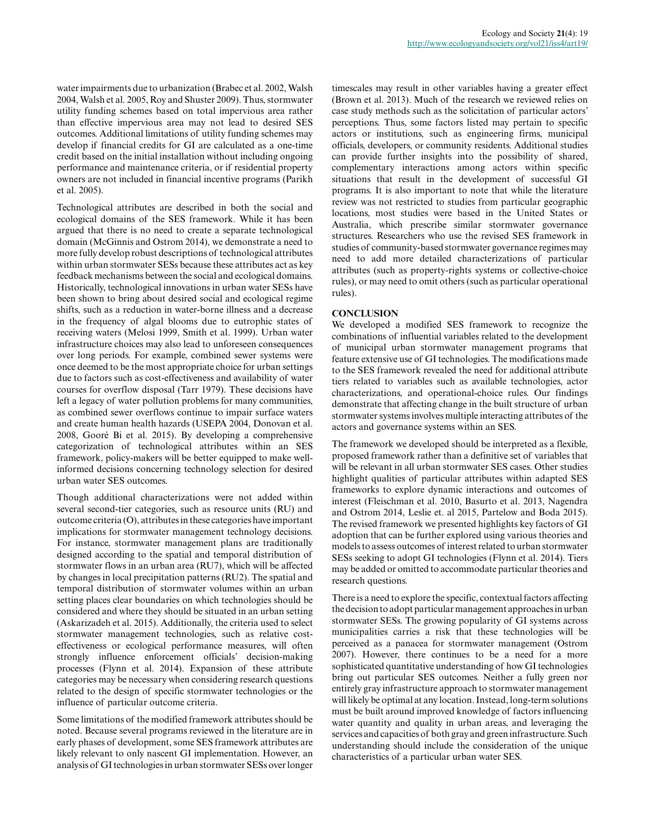water impairments due to urbanization (Brabec et al. 2002, Walsh 2004, Walsh et al. 2005, Roy and Shuster 2009). Thus, stormwater utility funding schemes based on total impervious area rather than effective impervious area may not lead to desired SES outcomes. Additional limitations of utility funding schemes may develop if financial credits for GI are calculated as a one-time credit based on the initial installation without including ongoing performance and maintenance criteria, or if residential property owners are not included in financial incentive programs (Parikh et al. 2005).

Technological attributes are described in both the social and ecological domains of the SES framework. While it has been argued that there is no need to create a separate technological domain (McGinnis and Ostrom 2014), we demonstrate a need to more fully develop robust descriptions of technological attributes within urban stormwater SESs because these attributes act as key feedback mechanisms between the social and ecological domains. Historically, technological innovations in urban water SESs have been shown to bring about desired social and ecological regime shifts, such as a reduction in water-borne illness and a decrease in the frequency of algal blooms due to eutrophic states of receiving waters (Melosi 1999, Smith et al. 1999). Urban water infrastructure choices may also lead to unforeseen consequences over long periods. For example, combined sewer systems were once deemed to be the most appropriate choice for urban settings due to factors such as cost-effectiveness and availability of water courses for overflow disposal (Tarr 1979). These decisions have left a legacy of water pollution problems for many communities, as combined sewer overflows continue to impair surface waters and create human health hazards (USEPA 2004, Donovan et al. 2008, Gooré Bi et al. 2015). By developing a comprehensive categorization of technological attributes within an SES framework, policy-makers will be better equipped to make wellinformed decisions concerning technology selection for desired urban water SES outcomes.

Though additional characterizations were not added within several second-tier categories, such as resource units (RU) and outcome criteria (O), attributes in these categories have important implications for stormwater management technology decisions. For instance, stormwater management plans are traditionally designed according to the spatial and temporal distribution of stormwater flows in an urban area (RU7), which will be affected by changes in local precipitation patterns (RU2). The spatial and temporal distribution of stormwater volumes within an urban setting places clear boundaries on which technologies should be considered and where they should be situated in an urban setting (Askarizadeh et al. 2015). Additionally, the criteria used to select stormwater management technologies, such as relative costeffectiveness or ecological performance measures, will often strongly influence enforcement officials' decision-making processes (Flynn et al. 2014). Expansion of these attribute categories may be necessary when considering research questions related to the design of specific stormwater technologies or the influence of particular outcome criteria.

Some limitations of the modified framework attributes should be noted. Because several programs reviewed in the literature are in early phases of development, some SES framework attributes are likely relevant to only nascent GI implementation. However, an analysis of GI technologies in urban stormwater SESs over longer

timescales may result in other variables having a greater effect (Brown et al. 2013). Much of the research we reviewed relies on case study methods such as the solicitation of particular actors' perceptions. Thus, some factors listed may pertain to specific actors or institutions, such as engineering firms, municipal officials, developers, or community residents. Additional studies can provide further insights into the possibility of shared, complementary interactions among actors within specific situations that result in the development of successful GI programs. It is also important to note that while the literature review was not restricted to studies from particular geographic locations, most studies were based in the United States or Australia, which prescribe similar stormwater governance structures. Researchers who use the revised SES framework in studies of community-based stormwater governance regimes may need to add more detailed characterizations of particular attributes (such as property-rights systems or collective-choice rules), or may need to omit others (such as particular operational rules).

### **CONCLUSION**

We developed a modified SES framework to recognize the combinations of influential variables related to the development of municipal urban stormwater management programs that feature extensive use of GI technologies. The modifications made to the SES framework revealed the need for additional attribute tiers related to variables such as available technologies, actor characterizations, and operational-choice rules. Our findings demonstrate that affecting change in the built structure of urban stormwater systems involves multiple interacting attributes of the actors and governance systems within an SES.

The framework we developed should be interpreted as a flexible, proposed framework rather than a definitive set of variables that will be relevant in all urban stormwater SES cases. Other studies highlight qualities of particular attributes within adapted SES frameworks to explore dynamic interactions and outcomes of interest (Fleischman et al. 2010, Basurto et al. 2013, Nagendra and Ostrom 2014, Leslie et. al 2015, Partelow and Boda 2015). The revised framework we presented highlights key factors of GI adoption that can be further explored using various theories and models to assess outcomes of interest related to urban stormwater SESs seeking to adopt GI technologies (Flynn et al. 2014). Tiers may be added or omitted to accommodate particular theories and research questions.

There is a need to explore the specific, contextual factors affecting the decision to adopt particular management approaches in urban stormwater SESs. The growing popularity of GI systems across municipalities carries a risk that these technologies will be perceived as a panacea for stormwater management (Ostrom 2007). However, there continues to be a need for a more sophisticated quantitative understanding of how GI technologies bring out particular SES outcomes. Neither a fully green nor entirely gray infrastructure approach to stormwater management will likely be optimal at any location. Instead, long-term solutions must be built around improved knowledge of factors influencing water quantity and quality in urban areas, and leveraging the services and capacities of both gray and green infrastructure. Such understanding should include the consideration of the unique characteristics of a particular urban water SES.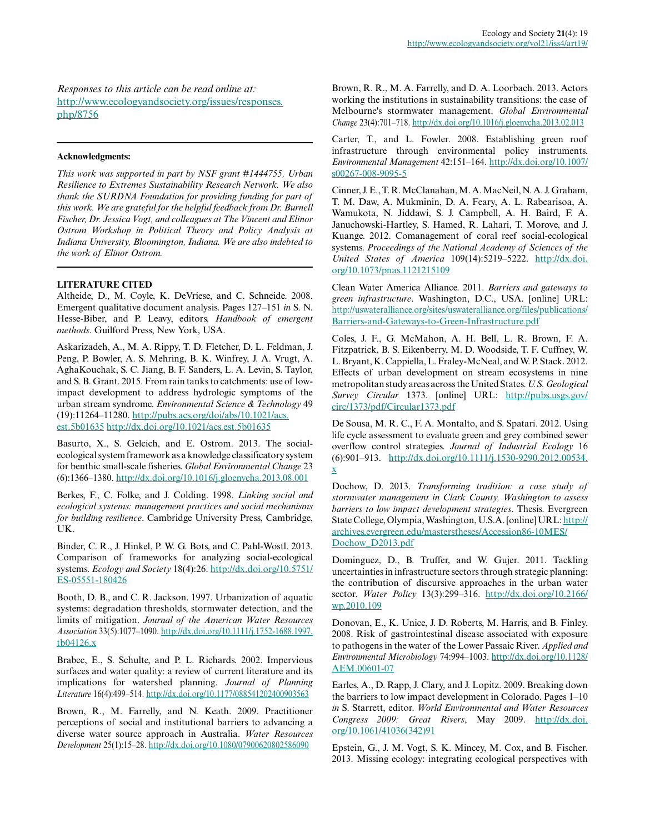*Responses to this article can be read online at:* [http://www.ecologyandsociety.org/issues/responses.](http://www.ecologyandsociety.org/issues/responses.php/8756) [php/8756](http://www.ecologyandsociety.org/issues/responses.php/8756)

#### **Acknowledgments:**

*This work was supported in part by NSF grant #1444755, Urban Resilience to Extremes Sustainability Research Network. We also thank the SURDNA Foundation for providing funding for part of this work. We are grateful for the helpful feedback from Dr. Burnell Fischer, Dr. Jessica Vogt, and colleagues at The Vincent and Elinor Ostrom Workshop in Political Theory and Policy Analysis at Indiana University, Bloomington, Indiana. We are also indebted to the work of Elinor Ostrom.*

#### **LITERATURE CITED**

Altheide, D., M. Coyle, K. DeVriese, and C. Schneide. 2008. Emergent qualitative document analysis. Pages 127–151 *in* S. N. Hesse-Biber, and P. Leavy, editors. *Handbook of emergent methods*. Guilford Press, New York, USA.

Askarizadeh, A., M. A. Rippy, T. D. Fletcher, D. L. Feldman, J. Peng, P. Bowler, A. S. Mehring, B. K. Winfrey, J. A. Vrugt, A. AghaKouchak, S. C. Jiang, B. F. Sanders, L. A. Levin, S. Taylor, and S. B. Grant. 2015. From rain tanks to catchments: use of lowimpact development to address hydrologic symptoms of the urban stream syndrome. *Environmental Science & Technology* 49 (19):11264–11280. [http://pubs.acs.org/doi/abs/10.1021/acs.](http://pubs.acs.org/doi/abs/10.1021/acs.est.5b01635) [est.5b01635](http://pubs.acs.org/doi/abs/10.1021/acs.est.5b01635) [http://dx.doi.org/10.1021/acs.est.5b01635](http://dx.doi.org/10.1021%2Facs.est.5b01635) 

Basurto, X., S. Gelcich, and E. Ostrom. 2013. The socialecological system framework as a knowledge classificatory system for benthic small-scale fisheries. *Global Environmental Change* 23 (6):1366–1380. [http://dx.doi.org/10.1016/j.gloenvcha.2013.08.001](http://dx.doi.org/10.1016%2Fj.gloenvcha.2013.08.001) 

Berkes, F., C. Folke, and J. Colding. 1998. *Linking social and ecological systems: management practices and social mechanisms for building resilience*. Cambridge University Press, Cambridge, UK.

Binder, C. R., J. Hinkel, P. W. G. Bots, and C. Pahl-Wostl. 2013. Comparison of frameworks for analyzing social-ecological systems. *Ecology and Society* 18(4):26. [http://dx.doi.org/10.5751/](http://dx.doi.org/10.5751%2FES-05551-180426) [ES-05551-180426](http://dx.doi.org/10.5751%2FES-05551-180426)

Booth, D. B., and C. R. Jackson. 1997. Urbanization of aquatic systems: degradation thresholds, stormwater detection, and the limits of mitigation. *Journal of the American Water Resources Association* 33(5):1077–1090. [http://dx.doi.org/10.1111/j.1752-1688.1997.](http://dx.doi.org/10.1111%2Fj.1752-1688.1997.tb04126.x) [tb04126.x](http://dx.doi.org/10.1111%2Fj.1752-1688.1997.tb04126.x)

Brabec, E., S. Schulte, and P. L. Richards. 2002. Impervious surfaces and water quality: a review of current literature and its implications for watershed planning. *Journal of Planning Literature* 16(4):499–514. [http://dx.doi.org/10.1177/088541202400903563](http://dx.doi.org/10.1177%2F088541202400903563)

Brown, R., M. Farrelly, and N. Keath. 2009. Practitioner perceptions of social and institutional barriers to advancing a diverse water source approach in Australia. *Water Resources Development* 25(1):15–28. [http://dx.doi.org/10.1080/07900620802586090](http://dx.doi.org/10.1080%2F07900620802586090)

Brown, R. R., M. A. Farrelly, and D. A. Loorbach. 2013. Actors working the institutions in sustainability transitions: the case of Melbourne's stormwater management. *Global Environmental Change* 23(4):701–718. [http://dx.doi.org/10.1016/j.gloenvcha.2013.02.013](http://dx.doi.org/10.1016%2Fj.gloenvcha.2013.02.013)

Carter, T., and L. Fowler. 2008. Establishing green roof infrastructure through environmental policy instruments. *Environmental Management* 42:151–164. [http://dx.doi.org/10.1007/](http://dx.doi.org/10.1007%2Fs00267-008-9095-5) [s00267-008-9095-5](http://dx.doi.org/10.1007%2Fs00267-008-9095-5) 

Cinner, J. E., T. R. McClanahan, M. A. MacNeil, N. A. J. Graham, T. M. Daw, A. Mukminin, D. A. Feary, A. L. Rabearisoa, A. Wamukota, N. Jiddawi, S. J. Campbell, A. H. Baird, F. A. Januchowski-Hartley, S. Hamed, R. Lahari, T. Morove, and J. Kuange. 2012. Comanagement of coral reef social-ecological systems. *Proceedings of the National Academy of Sciences of the United States of America* 109(14):5219–5222. [http://dx.doi.](http://dx.doi.org/10.1073%2Fpnas.1121215109) [org/10.1073/pnas.1121215109](http://dx.doi.org/10.1073%2Fpnas.1121215109) 

Clean Water America Alliance. 2011. *Barriers and gateways to green infrastructure*. Washington, D.C., USA. [online] URL: [http://uswateralliance.org/sites/uswateralliance.org/files/publications/](http://uswateralliance.org/sites/uswateralliance.org/files/publications/Barriers-and-Gateways-to-Green-Infrastructure.pdf) [Barriers-and-Gateways-to-Green-Infrastructure.pdf](http://uswateralliance.org/sites/uswateralliance.org/files/publications/Barriers-and-Gateways-to-Green-Infrastructure.pdf)

Coles, J. F., G. McMahon, A. H. Bell, L. R. Brown, F. A. Fitzpatrick, B. S. Eikenberry, M. D. Woodside, T. F. Cuffney, W. L. Bryant, K. Cappiella, L. Fraley-McNeal, and W. P. Stack. 2012. Effects of urban development on stream ecosystems in nine metropolitan study areas across the United States. *U.S. Geological Survey Circular* 1373. [online] URL: [http://pubs.usgs.gov/](http://pubs.usgs.gov/circ/1373/pdf/Circular1373.pdf) [circ/1373/pdf/Circular1373.pdf](http://pubs.usgs.gov/circ/1373/pdf/Circular1373.pdf)

De Sousa, M. R. C., F. A. Montalto, and S. Spatari. 2012. Using life cycle assessment to evaluate green and grey combined sewer overflow control strategies. *Journal of Industrial Ecology* 16 (6):901–913. [http://dx.doi.org/10.1111/j.1530-9290.2012.00534.](http://dx.doi.org/10.1111%2Fj.1530-9290.2012.00534.x) [x](http://dx.doi.org/10.1111%2Fj.1530-9290.2012.00534.x) 

Dochow, D. 2013. *Transforming tradition: a case study of stormwater management in Clark County, Washington to assess barriers to low impact development strategies*. Thesis. Evergreen State College, Olympia, Washington, U.S.A. [online] URL: [http://](http://archives.evergreen.edu/masterstheses/Accession86-10MES/Dochow_D2013.pdf) [archives.evergreen.edu/masterstheses/Accession86-10MES/](http://archives.evergreen.edu/masterstheses/Accession86-10MES/Dochow_D2013.pdf) [Dochow\\_D2013.pdf](http://archives.evergreen.edu/masterstheses/Accession86-10MES/Dochow_D2013.pdf)

Dominguez, D., B. Truffer, and W. Gujer. 2011. Tackling uncertainties in infrastructure sectors through strategic planning: the contribution of discursive approaches in the urban water sector. *Water Policy* 13(3):299–316. [http://dx.doi.org/10.2166/](http://dx.doi.org/10.2166%2Fwp.2010.109) [wp.2010.109](http://dx.doi.org/10.2166%2Fwp.2010.109)

Donovan, E., K. Unice, J. D. Roberts, M. Harris, and B. Finley. 2008. Risk of gastrointestinal disease associated with exposure to pathogens in the water of the Lower Passaic River. *Applied and Environmental Microbiology* 74:994–1003. [http://dx.doi.org/10.1128/](http://dx.doi.org/10.1128%2FAEM.00601-07) [AEM.00601-07](http://dx.doi.org/10.1128%2FAEM.00601-07) 

Earles, A., D. Rapp, J. Clary, and J. Lopitz. 2009. Breaking down the barriers to low impact development in Colorado. Pages 1–10 *in* S. Starrett, editor. *World Environmental and Water Resources Congress 2009: Great Rivers*, May 2009. [http://dx.doi.](http://dx.doi.org/10.1061%2F41036%28342%2991) [org/10.1061/41036\(342\)91](http://dx.doi.org/10.1061%2F41036%28342%2991)

Epstein, G., J. M. Vogt, S. K. Mincey, M. Cox, and B. Fischer. 2013. Missing ecology: integrating ecological perspectives with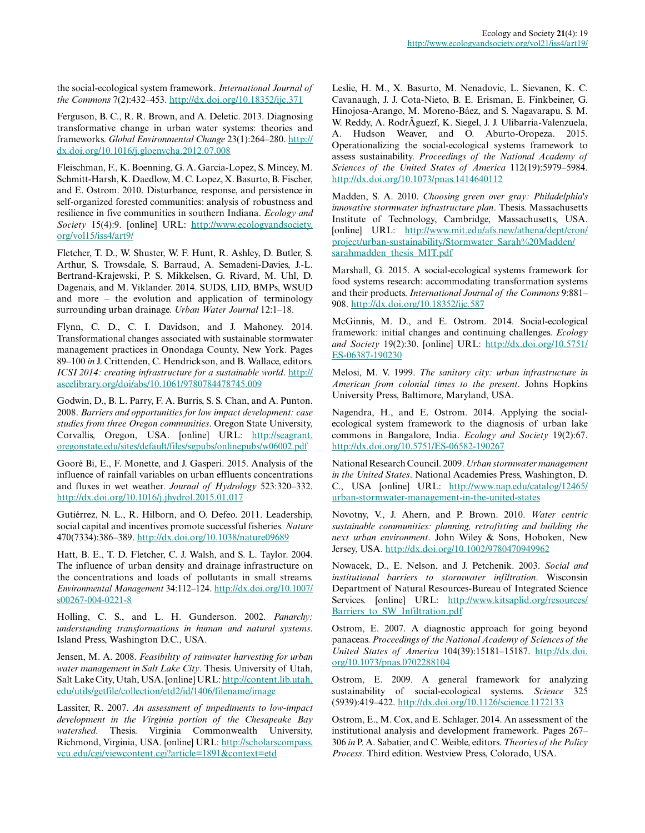the social-ecological system framework. *International Journal of the Commons* 7(2):432–453. [http://dx.doi.org/10.18352/ijc.371](http://dx.doi.org/10.18352%2Fijc.371)

Ferguson, B. C., R. R. Brown, and A. Deletic. 2013. Diagnosing transformative change in urban water systems: theories and frameworks. *Global Environmental Change* 23(1):264–280. [http://](http://dx.doi.org/10.1016%2Fj.gloenvcha.2012.07.008) [dx.doi.org/10.1016/j.gloenvcha.2012.07.008](http://dx.doi.org/10.1016%2Fj.gloenvcha.2012.07.008) 

Fleischman, F., K. Boenning, G. A. Garcia-Lopez, S. Mincey, M. Schmitt-Harsh, K. Daedlow, M. C. Lopez, X. Basurto, B. Fischer, and E. Ostrom. 2010. Disturbance, response, and persistence in self-organized forested communities: analysis of robustness and resilience in five communities in southern Indiana. *Ecology and Society* 15(4):9. [online] URL: [http://www.ecologyandsociety.](http://www.ecologyandsociety.org/vol15/iss4/art9/) [org/vol15/iss4/art9/](http://www.ecologyandsociety.org/vol15/iss4/art9/) 

Fletcher, T. D., W. Shuster, W. F. Hunt, R. Ashley, D. Butler, S. Arthur, S. Trowsdale, S. Barraud, A. Semadeni-Davies, J.-L. Bertrand-Krajewski, P. S. Mikkelsen, G. Rivard, M. Uhl, D. Dagenais, and M. Viklander. 2014. SUDS, LID, BMPs, WSUD and more – the evolution and application of terminology surrounding urban drainage. *Urban Water Journal* 12:1–18.

Flynn, C. D., C. I. Davidson, and J. Mahoney. 2014. Transformational changes associated with sustainable stormwater management practices in Onondaga County, New York. Pages 89–100 *in* J. Crittenden, C. Hendrickson, and B. Wallace, editors. *ICSI 2014: creating infrastructure for a sustainable world*. [http://](http://ascelibrary.org/doi/abs/10.1061/9780784478745.009) [ascelibrary.org/doi/abs/10.1061/9780784478745.009](http://ascelibrary.org/doi/abs/10.1061/9780784478745.009) 

Godwin, D., B. L. Parry, F. A. Burris, S. S. Chan, and A. Punton. 2008. *Barriers and opportunities for low impact development: case studies from three Oregon communities*. Oregon State University, Corvallis, Oregon, USA. [online] URL: [http://seagrant.](http://seagrant.oregonstate.edu/sites/default/files/sgpubs/onlinepubs/w06002.pdf) [oregonstate.edu/sites/default/files/sgpubs/onlinepubs/w06002.pdf](http://seagrant.oregonstate.edu/sites/default/files/sgpubs/onlinepubs/w06002.pdf)

Gooré Bi, E., F. Monette, and J. Gasperi. 2015. Analysis of the influence of rainfall variables on urban effluents concentrations and fluxes in wet weather. *Journal of Hydrology* 523:320–332. [http://dx.doi.org/10.1016/j.jhydrol.2015.01.017](http://dx.doi.org/10.1016%2Fj.jhydrol.2015.01.017) 

Gutiérrez, N. L., R. Hilborn, and O. Defeo. 2011. Leadership, social capital and incentives promote successful fisheries. *Nature* 470(7334):386–389. [http://dx.doi.org/10.1038/nature09689](http://dx.doi.org/10.1038%2Fnature09689)

Hatt, B. E., T. D. Fletcher, C. J. Walsh, and S. L. Taylor. 2004. The influence of urban density and drainage infrastructure on the concentrations and loads of pollutants in small streams. *Environmental Management* 34:112–124. [http://dx.doi.org/10.1007/](http://dx.doi.org/10.1007%2Fs00267-004-0221-8) [s00267-004-0221-8](http://dx.doi.org/10.1007%2Fs00267-004-0221-8) 

Holling, C. S., and L. H. Gunderson. 2002. *Panarchy: understanding transformations in human and natural systems*. Island Press, Washington D.C., USA.

Jensen, M. A. 2008. *Feasibility of rainwater harvesting for urban water management in Salt Lake City*. Thesis. University of Utah, Salt Lake City, Utah, USA. [online] URL: [http://content.lib.utah.](http://content.lib.utah.edu/utils/getfile/collection/etd2/id/1406/filename/image) [edu/utils/getfile/collection/etd2/id/1406/filename/image](http://content.lib.utah.edu/utils/getfile/collection/etd2/id/1406/filename/image) 

Lassiter, R. 2007. *An assessment of impediments to low-impact development in the Virginia portion of the Chesapeake Bay watershed*. Thesis. Virginia Commonwealth University, Richmond, Virginia, USA. [online] URL: [http://scholarscompass.](http://scholarscompass.vcu.edu/cgi/viewcontent.cgi?article=1891&context=etd) [vcu.edu/cgi/viewcontent.cgi?article=1891&context=etd](http://scholarscompass.vcu.edu/cgi/viewcontent.cgi?article=1891&context=etd) 

Leslie, H. M., X. Basurto, M. Nenadovic, L. Sievanen, K. C. Cavanaugh, J. J. Cota-Nieto, B. E. Erisman, E. Finkbeiner, G. Hinojosa-Arango, M. Moreno-Báez, and S. Nagavarapu, S. M. W. Reddy, A. RodrÃguezf, K. Siegel, J. J. Ulibarria-Valenzuela, A. Hudson Weaver, and O. Aburto-Oropeza. 2015. Operationalizing the social-ecological systems framework to assess sustainability. *Proceedings of the National Academy of Sciences of the United States of America* 112(19):5979–5984. [http://dx.doi.org/10.1073/pnas.1414640112](http://dx.doi.org/10.1073%2Fpnas.1414640112)

Madden, S. A. 2010. *Choosing green over gray: Philadelphia's innovative stormwater infrastructure plan*. Thesis. Massachusetts Institute of Technology, Cambridge, Massachusetts, USA. [online] URL: [http://www.mit.edu/afs.new/athena/dept/cron/](http://www.mit.edu/afs.new/athena/dept/cron/project/urban-sustainability/Stormwater_Sarah%20Madden/sarahmadden_thesis_MIT.pdf) [project/urban-sustainability/Stormwater\\_Sarah%20Madden/](http://www.mit.edu/afs.new/athena/dept/cron/project/urban-sustainability/Stormwater_Sarah%20Madden/sarahmadden_thesis_MIT.pdf) [sarahmadden\\_thesis\\_MIT.pdf](http://www.mit.edu/afs.new/athena/dept/cron/project/urban-sustainability/Stormwater_Sarah%20Madden/sarahmadden_thesis_MIT.pdf)

Marshall, G. 2015. A social-ecological systems framework for food systems research: accommodating transformation systems and their products. *International Journal of the Commons* 9:881– 908. [http://dx.doi.org/10.18352/ijc.587](http://dx.doi.org/10.18352%2Fijc.587) 

McGinnis, M. D., and E. Ostrom. 2014. Social-ecological framework: initial changes and continuing challenges. *Ecology and Society* 19(2):30. [online] URL: [http://dx.doi.org/10.5751/](http://dx.doi.org/10.5751%2FES-06387-190230) [ES-06387-190230](http://dx.doi.org/10.5751%2FES-06387-190230)

Melosi, M. V. 1999. *The sanitary city: urban infrastructure in American from colonial times to the present*. Johns Hopkins University Press, Baltimore, Maryland, USA.

Nagendra, H., and E. Ostrom. 2014. Applying the socialecological system framework to the diagnosis of urban lake commons in Bangalore, India. *Ecology and Society* 19(2):67. [http://dx.doi.org/10.5751/ES-06582-190267](http://dx.doi.org/10.5751%2FES-06582-190267) 

National Research Council. 2009. *Urban stormwater management in the United States*. National Academies Press, Washington, D. C., USA [online] URL: [http://www.nap.edu/catalog/12465/](http://www.nap.edu/catalog/12465/urban-stormwater-management-in-the-united-states) [urban-stormwater-management-in-the-united-states](http://www.nap.edu/catalog/12465/urban-stormwater-management-in-the-united-states) 

Novotny, V., J. Ahern, and P. Brown. 2010. *Water centric sustainable communities: planning, retrofitting and building the next urban environment*. John Wiley & Sons, Hoboken, New Jersey, USA. [http://dx.doi.org/10.1002/9780470949962](http://dx.doi.org/10.1002%2F9780470949962) 

Nowacek, D., E. Nelson, and J. Petchenik. 2003. *Social and institutional barriers to stormwater infiltration*. Wisconsin Department of Natural Resources-Bureau of Integrated Science Services. [online] URL: [http://www.kitsaplid.org/resources/](http://www.kitsaplid.org/resources/Barriers_to_SW_Infiltration.pdf) Barriers to SW Infiltration.pdf

Ostrom, E. 2007. A diagnostic approach for going beyond panaceas. *Proceedings of the National Academy of Sciences of the United States of America* 104(39):15181–15187. [http://dx.doi.](http://dx.doi.org/10.1073%2Fpnas.0702288104) [org/10.1073/pnas.0702288104](http://dx.doi.org/10.1073%2Fpnas.0702288104) 

Ostrom, E. 2009. A general framework for analyzing sustainability of social-ecological systems. *Science* 325 (5939):419–422. [http://dx.doi.org/10.1126/science.1172133](http://dx.doi.org/10.1126%2Fscience.1172133)

Ostrom, E., M. Cox, and E. Schlager. 2014. An assessment of the institutional analysis and development framework. Pages 267– 306 *in* P. A. Sabatier, and C. Weible, editors. *Theories of the Policy Process*. Third edition. Westview Press, Colorado, USA.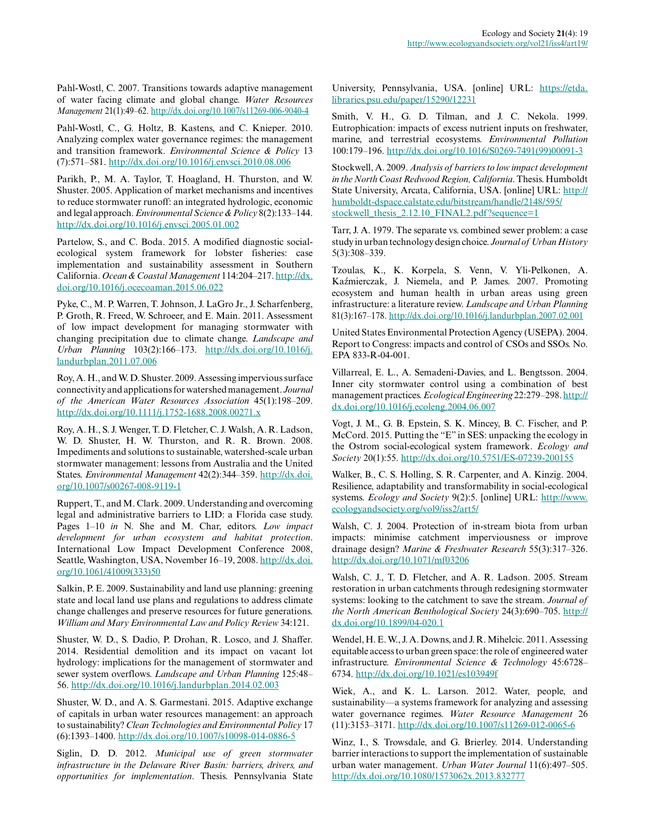Pahl-Wostl, C. 2007. Transitions towards adaptive management of water facing climate and global change. *Water Resources Management* 21(1):49–62. [http://dx.doi.org/10.1007/s11269-006-9040-4](http://dx.doi.org/10.1007%2Fs11269-006-9040-4) 

Pahl-Wostl, C., G. Holtz, B. Kastens, and C. Knieper. 2010. Analyzing complex water governance regimes: the management and transition framework. *Environmental Science & Policy* 13 (7):571–581. [http://dx.doi.org/10.1016/j.envsci.2010.08.006](http://dx.doi.org/10.1016%2Fj.envsci.2010.08.006)

Parikh, P., M. A. Taylor, T. Hoagland, H. Thurston, and W. Shuster. 2005. Application of market mechanisms and incentives to reduce stormwater runoff: an integrated hydrologic, economic and legal approach. *Environmental Science & Policy* 8(2):133–144. [http://dx.doi.org/10.1016/j.envsci.2005.01.002](http://dx.doi.org/10.1016%2Fj.envsci.2005.01.002) 

Partelow, S., and C. Boda. 2015. A modified diagnostic socialecological system framework for lobster fisheries: case implementation and sustainability assessment in Southern California. *Ocean & Coastal Management* 114:204–217. [http://dx.](http://dx.doi.org/10.1016%2Fj.ocecoaman.2015.06.022) [doi.org/10.1016/j.ocecoaman.2015.06.022](http://dx.doi.org/10.1016%2Fj.ocecoaman.2015.06.022) 

Pyke, C., M. P. Warren, T. Johnson, J. LaGro Jr., J. Scharfenberg, P. Groth, R. Freed, W. Schroeer, and E. Main. 2011. Assessment of low impact development for managing stormwater with changing precipitation due to climate change. *Landscape and Urban Planning* 103(2):166–173. [http://dx.doi.org/10.1016/j.](http://dx.doi.org/10.1016%2Fj.landurbplan.2011.07.006) [landurbplan.2011.07.006](http://dx.doi.org/10.1016%2Fj.landurbplan.2011.07.006) 

Roy, A. H., and W. D. Shuster. 2009. Assessing impervious surface connectivity and applications for watershed management. *Journal of the American Water Resources Association* 45(1):198–209. [http://dx.doi.org/10.1111/j.1752-1688.2008.00271.x](http://dx.doi.org/10.1111%2Fj.1752-1688.2008.00271.x) 

Roy, A. H., S. J. Wenger, T. D. Fletcher, C. J. Walsh, A. R. Ladson, W. D. Shuster, H. W. Thurston, and R. R. Brown. 2008. Impediments and solutions to sustainable, watershed-scale urban stormwater management: lessons from Australia and the United States. *Environmental Management* 42(2):344–359. [http://dx.doi.](http://dx.doi.org/10.1007%2Fs00267-008-9119-1) [org/10.1007/s00267-008-9119-1](http://dx.doi.org/10.1007%2Fs00267-008-9119-1)

Ruppert, T., and M. Clark. 2009. Understanding and overcoming legal and administrative barriers to LID: a Florida case study. Pages 1–10 *in* N. She and M. Char, editors. *Low impact development for urban ecosystem and habitat protection*. International Low Impact Development Conference 2008, Seattle, Washington, USA, November 16–19, 2008. [http://dx.doi.](http://dx.doi.org/10.1061%2F41009%28333%2950) [org/10.1061/41009\(333\)50](http://dx.doi.org/10.1061%2F41009%28333%2950)

Salkin, P. E. 2009. Sustainability and land use planning: greening state and local land use plans and regulations to address climate change challenges and preserve resources for future generations. *William and Mary Environmental Law and Policy Review* 34:121.

Shuster, W. D., S. Dadio, P. Drohan, R. Losco, and J. Shaffer. 2014. Residential demolition and its impact on vacant lot hydrology: implications for the management of stormwater and sewer system overflows. *Landscape and Urban Planning* 125:48– 56. [http://dx.doi.org/10.1016/j.landurbplan.2014.02.003](http://dx.doi.org/10.1016%2Fj.landurbplan.2014.02.003) 

Shuster, W. D., and A. S. Garmestani. 2015. Adaptive exchange of capitals in urban water resources management: an approach to sustainability? *Clean Technologies and Environmental Policy* 17 (6):1393–1400. [http://dx.doi.org/10.1007/s10098-014-0886-5](http://dx.doi.org/10.1007%2Fs10098-014-0886-5)

Siglin, D. D. 2012. *Municipal use of green stormwater infrastructure in the Delaware River Basin: barriers, drivers, and opportunities for implementation*. Thesis. Pennsylvania State

University, Pennsylvania, USA. [online] URL: [https://etda.](https://etda.libraries.psu.edu/paper/15290/12231) [libraries.psu.edu/paper/15290/12231](https://etda.libraries.psu.edu/paper/15290/12231) 

Smith, V. H., G. D. Tilman, and J. C. Nekola. 1999. Eutrophication: impacts of excess nutrient inputs on freshwater, marine, and terrestrial ecosystems. *Environmental Pollution* 100:179–196. [http://dx.doi.org/10.1016/S0269-7491\(99\)00091-3](http://dx.doi.org/10.1016%2FS0269-7491%2899%2900091-3)

Stockwell, A. 2009. *Analysis of barriers to low impact development in the North Coast Redwood Region, California*. Thesis. Humboldt State University, Arcata, California, USA. [online] URL: [http://](http://humboldt-dspace.calstate.edu/bitstream/handle/2148/595/stockwell_thesis_2.12.10_FINAL2.pdf?sequence=1) [humboldt-dspace.calstate.edu/bitstream/handle/2148/595/](http://humboldt-dspace.calstate.edu/bitstream/handle/2148/595/stockwell_thesis_2.12.10_FINAL2.pdf?sequence=1) [stockwell\\_thesis\\_2.12.10\\_FINAL2.pdf?sequence=1](http://humboldt-dspace.calstate.edu/bitstream/handle/2148/595/stockwell_thesis_2.12.10_FINAL2.pdf?sequence=1)

Tarr, J. A. 1979. The separate vs. combined sewer problem: a case study in urban technology design choice. *Journal of Urban History* 5(3):308–339.

Tzoulas, K., K. Korpela, S. Venn, V. Yli-Pelkonen, A. Kaźmierczak, J. Niemela, and P. James. 2007. Promoting ecosystem and human health in urban areas using green infrastructure: a literature review. *Landscape and Urban Planning* 81(3):167–178. [http://dx.doi.org/10.1016/j.landurbplan.2007.02.001](http://dx.doi.org/10.1016%2Fj.landurbplan.2007.02.001) 

United States Environmental Protection Agency (USEPA). 2004. Report to Congress: impacts and control of CSOs and SSOs. No. EPA 833-R-04-001.

Villarreal, E. L., A. Semadeni-Davies, and L. Bengtsson. 2004. Inner city stormwater control using a combination of best management practices. *Ecological Engineering* 22:279–298. [http://](http://dx.doi.org/10.1016%2Fj.ecoleng.2004.06.007) [dx.doi.org/10.1016/j.ecoleng.2004.06.007](http://dx.doi.org/10.1016%2Fj.ecoleng.2004.06.007)

Vogt, J. M., G. B. Epstein, S. K. Mincey, B. C. Fischer, and P. McCord. 2015. Putting the "E" in SES: unpacking the ecology in the Ostrom social-ecological system framework. *Ecology and Society* 20(1):55. [http://dx.doi.org/10.5751/ES-07239-200155](http://dx.doi.org/10.5751%2FES-07239-200155)

Walker, B., C. S. Holling, S. R. Carpenter, and A. Kinzig. 2004. Resilience, adaptability and transformability in social-ecological systems. *Ecology and Society* 9(2):5. [online] URL: [http://www.](http://www.ecologyandsociety.org/vol9/iss2/art5/) [ecologyandsociety.org/vol9/iss2/art5/](http://www.ecologyandsociety.org/vol9/iss2/art5/)

Walsh, C. J. 2004. Protection of in-stream biota from urban impacts: minimise catchment imperviousness or improve drainage design? *Marine & Freshwater Research* 55(3):317–326. [http://dx.doi.org/10.1071/mf03206](http://dx.doi.org/10.1071%2Fmf03206)

Walsh, C. J., T. D. Fletcher, and A. R. Ladson. 2005. Stream restoration in urban catchments through redesigning stormwater systems: looking to the catchment to save the stream. *Journal of the North American Benthological Society* 24(3):690–705. [http://](http://dx.doi.org/10.1899%2F04-020.1) [dx.doi.org/10.1899/04-020.1](http://dx.doi.org/10.1899%2F04-020.1)

Wendel, H. E. W., J. A. Downs, and J. R. Mihelcic. 2011. Assessing equitable access to urban green space: the role of engineered water infrastructure. *Environmental Science & Technology* 45:6728– 6734. [http://dx.doi.org/10.1021/es103949f](http://dx.doi.org/10.1021%2Fes103949f)

Wiek, A., and K. L. Larson. 2012. Water, people, and sustainability—a systems framework for analyzing and assessing water governance regimes. *Water Resource Management* 26 (11):3153–3171. [http://dx.doi.org/10.1007/s11269-012-0065-6](http://dx.doi.org/10.1007%2Fs11269-012-0065-6) 

Winz, I., S. Trowsdale, and G. Brierley. 2014. Understanding barrier interactions to support the implementation of sustainable urban water management. *Urban Water Journal* 11(6):497–505. [http://dx.doi.org/10.1080/1573062x.2013.832777](http://dx.doi.org/10.1080%2F1573062x.2013.832777)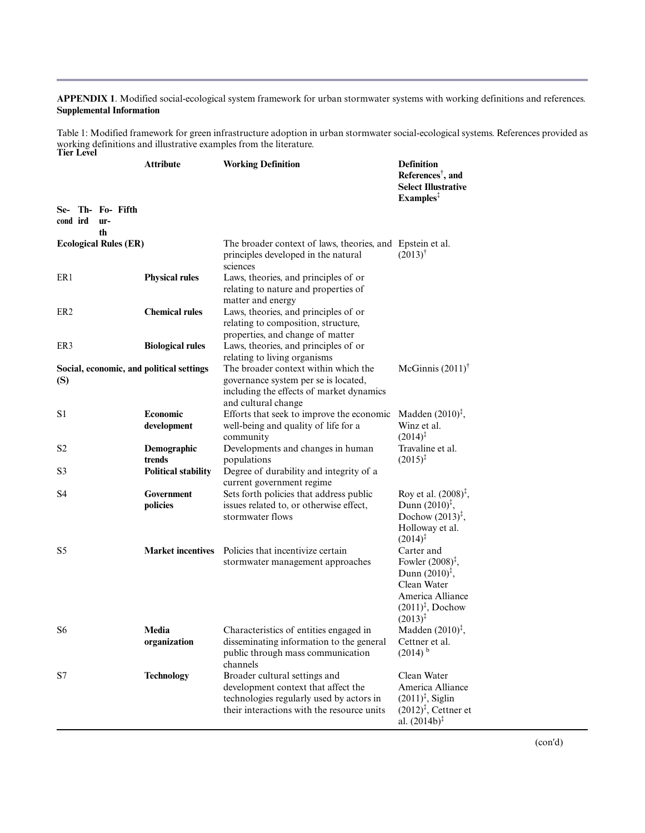# **APPENDIX 1**. Modified social-ecological system framework for urban stormwater systems with working definitions and references. **Supplemental Information**

Table 1: Modified framework for green infrastructure adoption in urban stormwater social-ecological systems. References provided as working definitions and illustrative examples from the literature. **Tier Level**

|                                                 | <b>Attribute</b>                                    | <b>Working Definition</b>                                                                                                                                      | <b>Definition</b><br>References <sup>†</sup> , and<br><b>Select Illustrative</b><br>Examples <sup>1</sup>                                                          |
|-------------------------------------------------|-----------------------------------------------------|----------------------------------------------------------------------------------------------------------------------------------------------------------------|--------------------------------------------------------------------------------------------------------------------------------------------------------------------|
| Se- Th- Fo- Fifth<br>cond ird<br>ur-<br>th      |                                                     |                                                                                                                                                                |                                                                                                                                                                    |
| <b>Ecological Rules (ER)</b>                    |                                                     | The broader context of laws, theories, and Epstein et al.<br>principles developed in the natural<br>sciences                                                   | $(2013)^{t}$                                                                                                                                                       |
| ER <sub>1</sub>                                 | <b>Physical rules</b>                               | Laws, theories, and principles of or<br>relating to nature and properties of<br>matter and energy                                                              |                                                                                                                                                                    |
| ER <sub>2</sub>                                 | <b>Chemical rules</b>                               | Laws, theories, and principles of or<br>relating to composition, structure,<br>properties, and change of matter                                                |                                                                                                                                                                    |
| ER3                                             | <b>Biological rules</b>                             | Laws, theories, and principles of or<br>relating to living organisms                                                                                           |                                                                                                                                                                    |
| Social, economic, and political settings<br>(S) |                                                     | The broader context within which the<br>governance system per se is located,<br>including the effects of market dynamics<br>and cultural change                | McGinnis $(2011)$ <sup>†</sup>                                                                                                                                     |
| S <sub>1</sub>                                  | Economic<br>development                             | Efforts that seek to improve the economic<br>well-being and quality of life for a<br>community                                                                 | Madden $(2010)^{\ddagger}$ ,<br>Winz et al.<br>$(2014)^{\ddagger}$                                                                                                 |
| S2<br>S3                                        | Demographic<br>trends<br><b>Political stability</b> | Developments and changes in human<br>populations<br>Degree of durability and integrity of a<br>current government regime                                       | Travaline et al.<br>$(2015)^{\ddagger}$                                                                                                                            |
| S <sub>4</sub>                                  | Government<br>policies                              | Sets forth policies that address public<br>issues related to, or otherwise effect,<br>stormwater flows                                                         | Roy et al. $(2008)^{\ddagger}$ ,<br>Dunn $(2010)^{\ddagger}$ ,<br>Dochow $(2013)^{\ddagger}$ ,<br>Holloway et al.<br>$(2014)^{\ddagger}$                           |
| S <sub>5</sub>                                  |                                                     | Market incentives Policies that incentivize certain<br>stormwater management approaches                                                                        | Carter and<br>Fowler $(2008)^{\ddagger}$ ,<br>Dunn $(2010)^{\ddagger}$ ,<br>Clean Water<br>America Alliance<br>$(2011)^{\ddagger}$ , Dochow<br>$(2013)^{\ddagger}$ |
| S <sub>6</sub>                                  | Media<br>organization                               | Characteristics of entities engaged in<br>disseminating information to the general<br>public through mass communication<br>channels                            | Madden $(2010)^{\ddagger}$ ,<br>Cettner et al.<br>$(2014)$ <sup>b</sup>                                                                                            |
| S7                                              | <b>Technology</b>                                   | Broader cultural settings and<br>development context that affect the<br>technologies regularly used by actors in<br>their interactions with the resource units | Clean Water<br>America Alliance<br>$(2011)^{\ddagger}$ , Siglin<br>$(2012)^{\ddagger}$ , Cettner et<br>al. $(2014b)^{\ddagger}$                                    |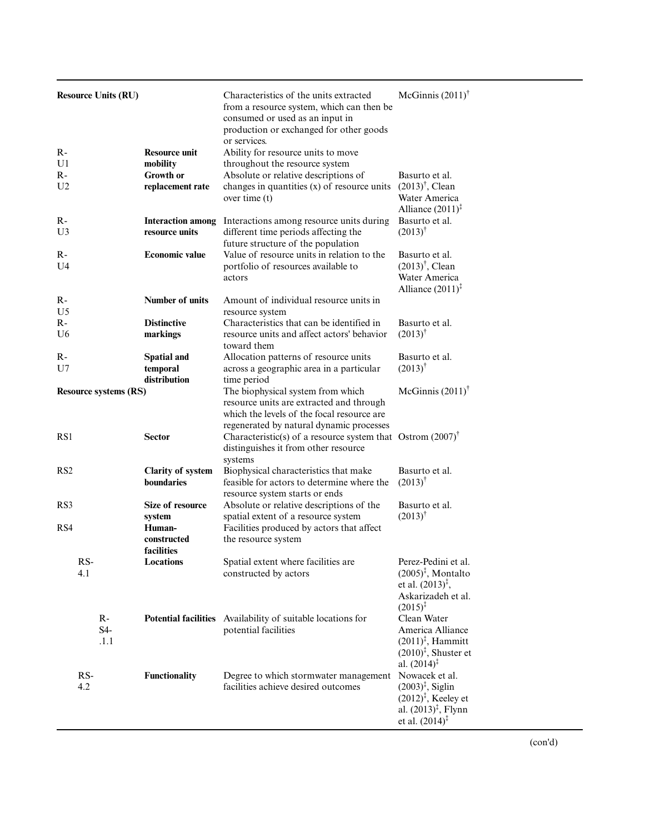| <b>Resource Units (RU)</b>   |                                            | Characteristics of the units extracted<br>from a resource system, which can then be<br>consumed or used as an input in<br>production or exchanged for other goods<br>or services. | McGinnis $(2011)$ <sup>†</sup>                                                                                                   |
|------------------------------|--------------------------------------------|-----------------------------------------------------------------------------------------------------------------------------------------------------------------------------------|----------------------------------------------------------------------------------------------------------------------------------|
| $R -$<br>U1                  | <b>Resource unit</b><br>mobility           | Ability for resource units to move<br>throughout the resource system                                                                                                              |                                                                                                                                  |
| R-                           | Growth or                                  | Absolute or relative descriptions of                                                                                                                                              | Basurto et al.                                                                                                                   |
| U <sub>2</sub>               | replacement rate                           | changes in quantities (x) of resource units<br>over time $(t)$                                                                                                                    | $(2013)^{\dagger}$ , Clean<br>Water America<br>Alliance $(2011)^{\ddagger}$                                                      |
| $R -$<br>U3                  | <b>Interaction among</b><br>resource units | Interactions among resource units during<br>different time periods affecting the<br>future structure of the population                                                            | Basurto et al.<br>$(2013)^{\dagger}$                                                                                             |
| $R -$<br>U4                  | <b>Economic value</b>                      | Value of resource units in relation to the<br>portfolio of resources available to<br>actors                                                                                       | Basurto et al.<br>$(2013)^{\dagger}$ , Clean<br>Water America<br>Alliance $(2011)^{\ddagger}$                                    |
| $R -$<br>U <sub>5</sub>      | Number of units                            | Amount of individual resource units in<br>resource system                                                                                                                         |                                                                                                                                  |
| $R-$                         | <b>Distinctive</b>                         | Characteristics that can be identified in                                                                                                                                         | Basurto et al.                                                                                                                   |
| U6                           | markings                                   | resource units and affect actors' behavior<br>toward them                                                                                                                         | $(2013)^{\dagger}$                                                                                                               |
| $R -$                        | <b>Spatial and</b>                         | Allocation patterns of resource units                                                                                                                                             | Basurto et al.                                                                                                                   |
| U7                           | temporal<br>distribution                   | across a geographic area in a particular<br>time period                                                                                                                           | $(2013)^{\dagger}$                                                                                                               |
| <b>Resource systems (RS)</b> |                                            | The biophysical system from which<br>resource units are extracted and through<br>which the levels of the focal resource are<br>regenerated by natural dynamic processes           | McGinnis $(2011)$ <sup>†</sup>                                                                                                   |
| RS1                          | <b>Sector</b>                              | Characteristic(s) of a resource system that Ostrom $(2007)^{\dagger}$<br>distinguishes it from other resource<br>systems                                                          |                                                                                                                                  |
| RS <sub>2</sub>              | <b>Clarity of system</b><br>boundaries     | Biophysical characteristics that make<br>feasible for actors to determine where the<br>resource system starts or ends                                                             | Basurto et al.<br>$(2013)^{\dagger}$                                                                                             |
| RS3                          | Size of resource                           | Absolute or relative descriptions of the                                                                                                                                          | Basurto et al.                                                                                                                   |
|                              | system                                     | spatial extent of a resource system                                                                                                                                               | $(2013)^{\dagger}$                                                                                                               |
| RS4                          | Human-<br>constructed<br>facilities        | Facilities produced by actors that affect<br>the resource system                                                                                                                  |                                                                                                                                  |
| RS-                          | Locations                                  | Spatial extent where facilities are                                                                                                                                               | Perez-Pedini et al.                                                                                                              |
| 4.1                          |                                            | constructed by actors                                                                                                                                                             | $(2005)^{\ddagger}$ , Montalto<br>et al. $(2013)^{\ddagger}$ ,                                                                   |
|                              |                                            |                                                                                                                                                                                   | Askarizadeh et al.<br>$(2015)^{\ddagger}$                                                                                        |
| $R -$                        |                                            | Potential facilities Availability of suitable locations for                                                                                                                       | Clean Water                                                                                                                      |
| S4-<br>.1.1                  |                                            | potential facilities                                                                                                                                                              | America Alliance<br>$(2011)^{\ddagger}$ , Hammitt<br>$(2010)^{\ddagger}$ , Shuster et<br>al. $(2014)^{\ddagger}$                 |
| $RS-$<br>4.2                 | Functionality                              | Degree to which stormwater management Nowacek et al.<br>facilities achieve desired outcomes                                                                                       | $(2003)^{\ddagger}$ , Siglin<br>$(2012)^{\ddagger}$ , Keeley et<br>al. $(2013)^{\ddagger}$ , Flynn<br>et al. $(2014)^{\ddagger}$ |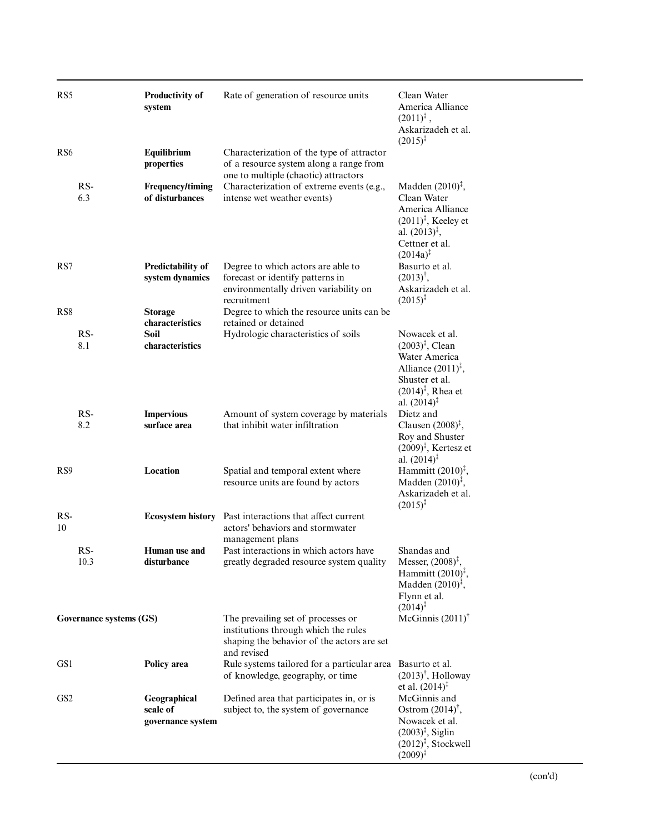| RS <sub>5</sub>        |                         | <b>Productivity of</b><br>system                              | Rate of generation of resource units                                                                                                                                        | Clean Water<br>America Alliance<br>$(2011)^{\ddagger}$ ,<br>Askarizadeh et al.<br>$(2015)^{\ddagger}$                                                                          |
|------------------------|-------------------------|---------------------------------------------------------------|-----------------------------------------------------------------------------------------------------------------------------------------------------------------------------|--------------------------------------------------------------------------------------------------------------------------------------------------------------------------------|
| RS <sub>6</sub>        |                         | Equilibrium<br>properties                                     | Characterization of the type of attractor<br>of a resource system along a range from<br>one to multiple (chaotic) attractors                                                |                                                                                                                                                                                |
|                        | $RS-$<br>6.3            | Frequency/timing<br>of disturbances                           | Characterization of extreme events (e.g.,<br>intense wet weather events)                                                                                                    | Madden $(2010)^{\ddagger}$ ,<br>Clean Water<br>America Alliance<br>$(2011)^{\ddagger}$ , Keeley et<br>al. $(2013)^{\ddagger}$ ,<br>Cettner et al.<br>$(2014a)^{\ddagger}$      |
| RS7<br>RS <sub>8</sub> |                         | <b>Predictability of</b><br>system dynamics<br><b>Storage</b> | Degree to which actors are able to<br>forecast or identify patterns in<br>environmentally driven variability on<br>recruitment<br>Degree to which the resource units can be | Basurto et al.<br>$(2013)^{\dagger}$ ,<br>Askarizadeh et al.<br>$(2015)^{\ddagger}$                                                                                            |
|                        | $RS-$<br>8.1            | characteristics<br>Soil<br>characteristics                    | retained or detained<br>Hydrologic characteristics of soils                                                                                                                 | Nowacek et al.<br>$(2003)^{\ddagger}$ , Clean<br>Water America<br>Alliance $(2011)^{\ddagger}$ ,<br>Shuster et al.<br>$(2014)^{\ddagger}$ , Rhea et<br>al. $(2014)^{\ddagger}$ |
|                        | RS-<br>8.2              | <b>Impervious</b><br>surface area                             | Amount of system coverage by materials<br>that inhibit water infiltration                                                                                                   | Dietz and<br>Clausen $(2008)^{\ddagger}$ ,<br>Roy and Shuster<br>$(2009)^{\ddagger}$ , Kertesz et<br>al. $(2014)^{\ddagger}$                                                   |
| RS <sub>9</sub>        |                         | Location                                                      | Spatial and temporal extent where<br>resource units are found by actors                                                                                                     | Hammitt $(2010)^{\bar{t}}$ ,<br>Madden $(2010)^{\ddagger}$ ,<br>Askarizadeh et al.<br>$(2015)^{\ddagger}$                                                                      |
| $RS-$<br>10            |                         |                                                               | Ecosystem history Past interactions that affect current<br>actors' behaviors and stormwater<br>management plans                                                             |                                                                                                                                                                                |
|                        | RS-<br>10.3             | Human use and<br>disturbance                                  | Past interactions in which actors have<br>greatly degraded resource system quality                                                                                          | Shandas and<br>Messer, $(2008)^{\ddagger}$ ,<br>Hammitt $(2010)^{\ddagger}$ ,<br>Madden $(2010)^{\ddagger}$ ,<br>Flynn et al.<br>$(2014)^{\ddagger}$                           |
|                        | Governance systems (GS) |                                                               | The prevailing set of processes or<br>institutions through which the rules<br>shaping the behavior of the actors are set<br>and revised                                     | McGinnis $(2011)$ <sup>†</sup>                                                                                                                                                 |
| GS1                    |                         | Policy area                                                   | Rule systems tailored for a particular area<br>of knowledge, geography, or time                                                                                             | Basurto et al.<br>$(2013)^{\dagger}$ , Holloway<br>et al. $(2014)^{\ddagger}$                                                                                                  |
| GS <sub>2</sub>        |                         | Geographical<br>scale of<br>governance system                 | Defined area that participates in, or is<br>subject to, the system of governance                                                                                            | McGinnis and<br>Ostrom $(2014)^{\dagger}$ ,<br>Nowacek et al.<br>$(2003)^{\ddagger}$ , Siglin<br>$(2012)^{\ddagger}$ , Stockwell<br>$(2009)^{\ddagger}$                        |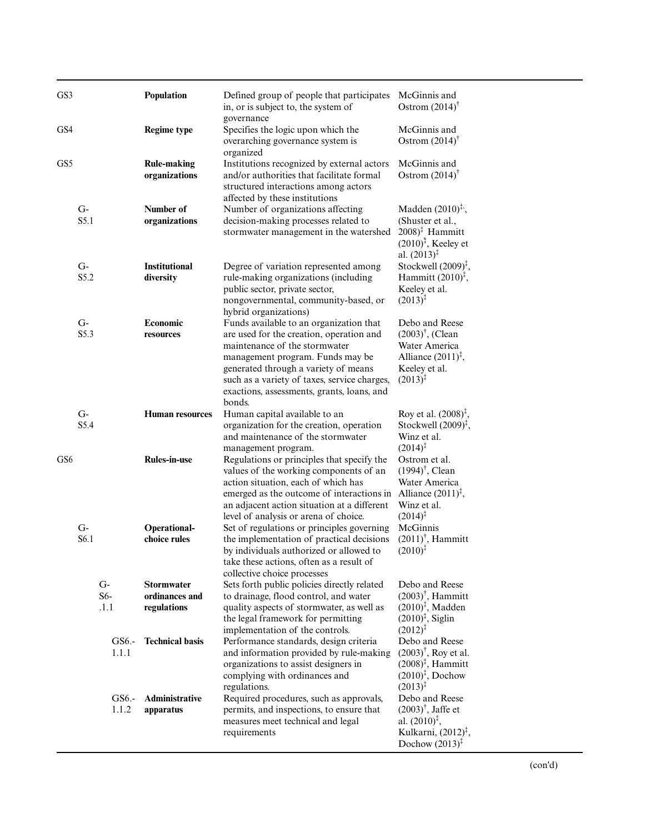| GS3             |                          |                       |                | Population                                         | Defined group of people that participates<br>in, or is subject to, the system of                                                                                                                                                                                                                         | McGinnis and<br>Ostrom $(2014)$ <sup>†</sup>                                                                                                  |
|-----------------|--------------------------|-----------------------|----------------|----------------------------------------------------|----------------------------------------------------------------------------------------------------------------------------------------------------------------------------------------------------------------------------------------------------------------------------------------------------------|-----------------------------------------------------------------------------------------------------------------------------------------------|
| GS4             |                          |                       |                | <b>Regime type</b>                                 | governance<br>Specifies the logic upon which the<br>overarching governance system is                                                                                                                                                                                                                     | McGinnis and<br>Ostrom $(2014)$ <sup>†</sup>                                                                                                  |
| GS <sub>5</sub> |                          |                       |                | <b>Rule-making</b><br>organizations                | organized<br>Institutions recognized by external actors<br>and/or authorities that facilitate formal<br>structured interactions among actors<br>affected by these institutions                                                                                                                           | McGinnis and<br>Ostrom $(2014)$ <sup>†</sup>                                                                                                  |
|                 | $G-$<br>S5.1             |                       |                | Number of<br>organizations                         | Number of organizations affecting<br>decision-making processes related to<br>stormwater management in the watershed                                                                                                                                                                                      | Madden $(2010)^{\ddagger}$ ,<br>(Shuster et al.,<br>$2008$ <sup>‡</sup> Hammitt<br>$(2010)^{\ddagger}$ , Keeley et<br>al. $(2013)^{\ddagger}$ |
|                 | $G-$<br>S <sub>5.2</sub> |                       |                | <b>Institutional</b><br>diversity                  | Degree of variation represented among<br>rule-making organizations (including<br>public sector, private sector,<br>nongovernmental, community-based, or<br>hybrid organizations)                                                                                                                         | Stockwell $(2009)^{\ddagger}$ ,<br>Hammitt $(2010)^{\ddagger}$ ,<br>Keeley et al.<br>$(2013)^{\ddagger}$                                      |
|                 | $G-$<br>S5.3             |                       |                | Economic<br>resources                              | Funds available to an organization that<br>are used for the creation, operation and<br>maintenance of the stormwater<br>management program. Funds may be<br>generated through a variety of means<br>such as a variety of taxes, service charges,<br>exactions, assessments, grants, loans, and<br>bonds. | Debo and Reese<br>$(2003)^{\dagger}$ , (Clean<br>Water America<br>Alliance $(2011)^{\ddagger}$ ,<br>Keeley et al.<br>$(2013)^{1}$             |
|                 | $G-$<br>S5.4             |                       |                | <b>Human resources</b>                             | Human capital available to an<br>organization for the creation, operation<br>and maintenance of the stormwater<br>management program.                                                                                                                                                                    | Roy et al. $(2008)^{\ddagger}$ ,<br>Stockwell $(2009)^{\ddagger}$ ,<br>Winz et al.<br>$(2014)^{\ddagger}$                                     |
| GS <sub>6</sub> |                          |                       |                | <b>Rules-in-use</b>                                | Regulations or principles that specify the<br>values of the working components of an<br>action situation, each of which has<br>emerged as the outcome of interactions in<br>an adjacent action situation at a different<br>level of analysis or arena of choice.                                         | Ostrom et al.<br>$(1994)^{\dagger}$ , Clean<br>Water America<br>Alliance $(2011)^{\ddagger}$ ,<br>Winz et al.<br>$(2014)^{\ddagger}$          |
|                 | $G-$<br>S6.1             |                       |                | Operational-<br>choice rules                       | Set of regulations or principles governing<br>the implementation of practical decisions<br>by individuals authorized or allowed to<br>take these actions, often as a result of<br>collective choice processes                                                                                            | McGinnis<br>$(2011)^{\dagger}$ , Hammitt<br>$(2010)^{\ddagger}$                                                                               |
|                 |                          | $G-$<br>$S6-$<br>.1.1 |                | <b>Stormwater</b><br>ordinances and<br>regulations | Sets forth public policies directly related<br>to drainage, flood control, and water<br>quality aspects of stormwater, as well as<br>the legal framework for permitting<br>implementation of the controls.                                                                                               | Debo and Reese<br>$(2003)^{\dagger}$ , Hammitt<br>$(2010)^{\ddagger}$ , Madden<br>$(2010)^{\ddagger}$ , Siglin<br>$(2012)^{\ddagger}$         |
|                 |                          |                       | GS6.-<br>1.1.1 | <b>Technical basis</b>                             | Performance standards, design criteria<br>and information provided by rule-making<br>organizations to assist designers in<br>complying with ordinances and<br>regulations.                                                                                                                               | Debo and Reese<br>$(2003)^{\dagger}$ , Roy et al.<br>$(2008)^{\ddagger}$ , Hammitt<br>$(2010)^{\ddagger}$ , Dochow<br>$(2013)^{\ddagger}$     |
|                 |                          |                       | GS6.-<br>1.1.2 | Administrative<br>apparatus                        | Required procedures, such as approvals,<br>permits, and inspections, to ensure that<br>measures meet technical and legal<br>requirements                                                                                                                                                                 | Debo and Reese<br>$(2003)^{\dagger}$ , Jaffe et<br>al. $(2010)^{\ddagger}$ ,<br>Kulkarni, $(2012)^{\ddagger}$ ,<br>Dochow $(2013)^{\ddagger}$ |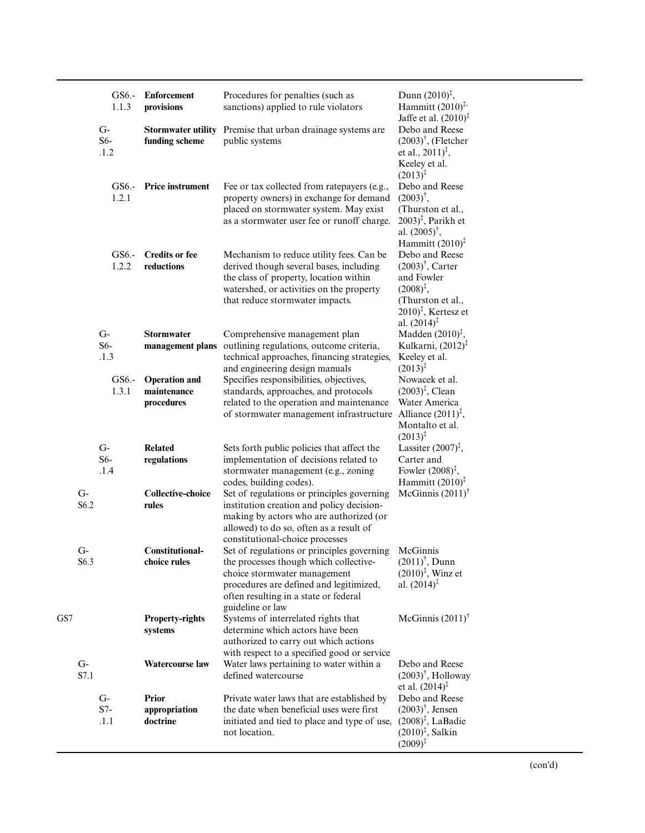|     |              | GS6.-<br>1.1.3        | <b>Enforcement</b><br>provisions                  | Procedures for penalties (such as<br>sanctions) applied to rule violators                                                                                                                                                    | Dunn $(2010)^{\ddagger}$ ,<br>Hammitt $(2010)^{\ddagger}$<br>Jaffe et al. $(2010)^{\ddagger}$                                                                                                |
|-----|--------------|-----------------------|---------------------------------------------------|------------------------------------------------------------------------------------------------------------------------------------------------------------------------------------------------------------------------------|----------------------------------------------------------------------------------------------------------------------------------------------------------------------------------------------|
|     |              | $G-$<br>$S6-$<br>.1.2 | <b>Stormwater utility</b><br>funding scheme       | Premise that urban drainage systems are<br>public systems                                                                                                                                                                    | Debo and Reese<br>$(2003)^{\dagger}$ , (Fletcher<br>et al., $2011$ <sup><math>\ddagger</math></sup> ,<br>Keeley et al.<br>$(2013)^{\ddagger}$                                                |
|     |              | GS6.-<br>1.2.1        | <b>Price instrument</b>                           | Fee or tax collected from ratepayers (e.g.,<br>property owners) in exchange for demand<br>placed on stormwater system. May exist<br>as a stormwater user fee or runoff charge.                                               | Debo and Reese<br>$(2003)^{\dagger}$ ,<br>(Thurston et al.,<br>$(2003)^{\ddagger}$ , Parikh et<br>al. $(2005)^{\dagger}$ ,<br>Hammitt $(2010)^{\ddagger}$                                    |
|     |              | $GS6. -$<br>1.2.2     | <b>Credits or fee</b><br>reductions               | Mechanism to reduce utility fees. Can be<br>derived though several bases, including<br>the class of property, location within<br>watershed, or activities on the property<br>that reduce stormwater impacts.                 | Debo and Reese<br>$(2003)^{\dagger}$ , Carter<br>and Fowler<br>$(2008)^{\ddagger}$ ,<br>(Thurston et al.,<br>$2010$ <sup><math>\ddagger</math></sup> , Kertesz et<br>al. $(2014)^{\ddagger}$ |
|     |              | $G-$<br>$S6-$<br>.1.3 | <b>Stormwater</b><br>management plans             | Comprehensive management plan<br>outlining regulations, outcome criteria,<br>technical approaches, financing strategies,<br>and engineering design manuals                                                                   | Madden $(2010)^{\ddagger}$ ,<br>Kulkarni, (2012) <sup>‡</sup><br>Keeley et al.<br>$(2013)^{\ddagger}$                                                                                        |
|     |              | GS6.-<br>1.3.1        | <b>Operation</b> and<br>maintenance<br>procedures | Specifies responsibilities, objectives,<br>standards, approaches, and protocols<br>related to the operation and maintenance<br>of stormwater management infrastructure                                                       | Nowacek et al.<br>$(2003)^{\ddagger}$ , Clean<br>Water America<br>Alliance $(2011)^{\ddagger}$ ,<br>Montalto et al.<br>$(2013)^{\ddagger}$                                                   |
|     |              | $G-$<br>$S6-$<br>.1.4 | <b>Related</b><br>regulations                     | Sets forth public policies that affect the<br>implementation of decisions related to<br>stormwater management (e.g., zoning<br>codes, building codes).                                                                       | Lassiter $(2007)^{\ddagger}$ ,<br>Carter and<br>Fowler $(2008)^{\ddagger}$ ,<br>Hammitt $(2010)^{\ddagger}$                                                                                  |
|     | $G-$<br>S6.2 |                       | <b>Collective-choice</b><br>rules                 | Set of regulations or principles governing<br>institution creation and policy decision-<br>making by actors who are authorized (or<br>allowed) to do so, often as a result of<br>constitutional-choice processes             | McGinnis $(2011)$ <sup>†</sup>                                                                                                                                                               |
|     | $G-$<br>S6.3 |                       | <b>Constitutional-</b><br>choice rules            | Set of regulations or principles governing<br>the processes though which collective-<br>choice stormwater management<br>procedures are defined and legitimized,<br>often resulting in a state or federal<br>guideline or law | McGinnis<br>$(2011)^{\dagger}$ , Dunn<br>$(2010)^{\ddagger}$ , Winz et<br>al. $(2014)^{\ddagger}$                                                                                            |
| GS7 |              |                       | <b>Property-rights</b><br>systems                 | Systems of interrelated rights that<br>determine which actors have been<br>authorized to carry out which actions<br>with respect to a specified good or service                                                              | McGinnis $(2011)$ <sup>†</sup>                                                                                                                                                               |
|     | $G-$<br>S7.1 |                       | <b>Watercourse law</b>                            | Water laws pertaining to water within a<br>defined watercourse                                                                                                                                                               | Debo and Reese<br>$(2003)^{\dagger}$ , Holloway<br>et al. $(2014)^{\ddagger}$                                                                                                                |
|     |              | $G-$<br>$S7-$<br>.1.1 | <b>Prior</b><br>appropriation<br>doctrine         | Private water laws that are established by<br>the date when beneficial uses were first<br>initiated and tied to place and type of use,<br>not location.                                                                      | Debo and Reese<br>$(2003)^{\dagger}$ , Jensen<br>$(2008)^{\ddagger}$ , LaBadie<br>$(2010)^{\ddagger}$ , Salkin<br>$(2009)^{\ddagger}$                                                        |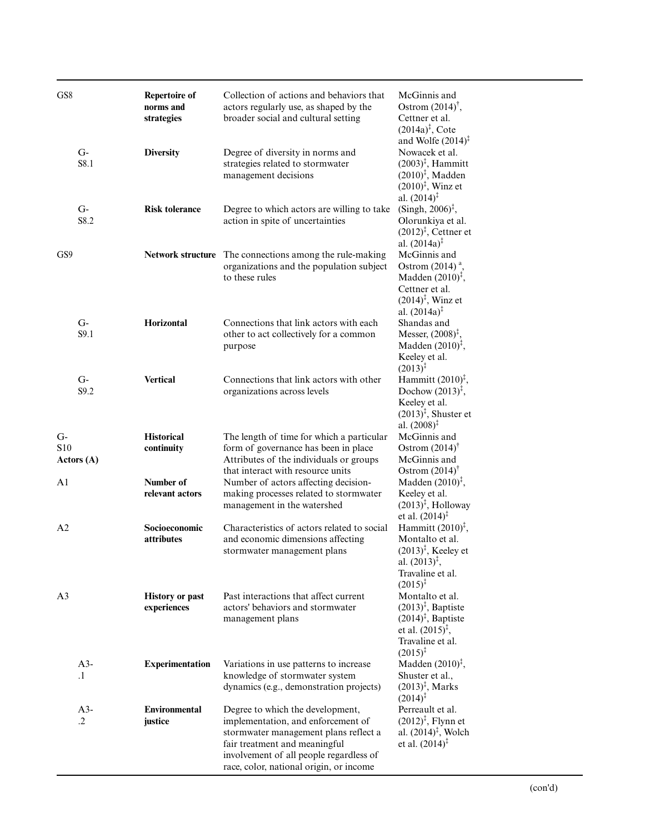| GS <sub>8</sub> |                    | <b>Repertoire of</b><br>norms and<br>strategies | Collection of actions and behaviors that<br>actors regularly use, as shaped by the<br>broader social and cultural setting                                                                                                              | McGinnis and<br>Ostrom $(2014)^{\dagger}$ ,<br>Cettner et al.<br>$(2014a)^{\ddagger}$ , Cote<br>and Wolfe $(2014)^{\ddagger}$                                  |
|-----------------|--------------------|-------------------------------------------------|----------------------------------------------------------------------------------------------------------------------------------------------------------------------------------------------------------------------------------------|----------------------------------------------------------------------------------------------------------------------------------------------------------------|
|                 | $G-$<br>S8.1       | <b>Diversity</b>                                | Degree of diversity in norms and<br>strategies related to stormwater<br>management decisions                                                                                                                                           | Nowacek et al.<br>$(2003)^{\ddagger}$ , Hammitt<br>$(2010)^{\ddagger}$ , Madden<br>$(2010)^{\ddagger}$ , Winz et<br>al. $(2014)^{\ddagger}$                    |
|                 | $G-$<br>S8.2       | <b>Risk tolerance</b>                           | Degree to which actors are willing to take<br>action in spite of uncertainties                                                                                                                                                         | (Singh, $2006$ <sup>†</sup> ,<br>Olorunkiya et al.<br>$(2012)^{\ddagger}$ , Cettner et<br>al. $(2014a)^{\ddagger}$                                             |
| GS9             |                    |                                                 | Network structure The connections among the rule-making<br>organizations and the population subject<br>to these rules                                                                                                                  | McGinnis and<br>Ostrom $(2014)$ <sup>a</sup> ,<br>Madden $(2010)^{\ddagger}$ ,<br>Cettner et al.<br>$(2014)^{\ddagger}$ , Winz et<br>al. $(2014a)^{\ddagger}$  |
|                 | $G-$<br>S9.1       | Horizontal                                      | Connections that link actors with each<br>other to act collectively for a common<br>purpose                                                                                                                                            | Shandas and<br>Messer, $(2008)^{\ddagger}$ ,<br>Madden $(2010)^{\ddagger}$ ,<br>Keeley et al.<br>$(2013)^{3}$                                                  |
|                 | $G-$<br>S9.2       | <b>Vertical</b>                                 | Connections that link actors with other<br>organizations across levels                                                                                                                                                                 | Hammitt $(2010)^{\ddagger}$ ,<br>Dochow $(2013)^{\ddagger}$ ,<br>Keeley et al.<br>$(2013)^{\ddagger}$ , Shuster et<br>al. $(2008)^{\ddagger}$                  |
| $G-$<br>S10     | Actors(A)          | <b>Historical</b><br>continuity                 | The length of time for which a particular<br>form of governance has been in place<br>Attributes of the individuals or groups<br>that interact with resource units                                                                      | McGinnis and<br>Ostrom $(2014)$ <sup>†</sup><br>McGinnis and<br>Ostrom $(2014)$ <sup>†</sup>                                                                   |
| A1              |                    | Number of<br>relevant actors                    | Number of actors affecting decision-<br>making processes related to stormwater<br>management in the watershed                                                                                                                          | Madden $(2010)^{\ddagger}$ ,<br>Keeley et al.<br>$(2013)^{\ddagger}$ , Holloway<br>et al. $(2014)^{\ddagger}$                                                  |
| A <sub>2</sub>  |                    | Socioeconomic<br><i>attributes</i>              | Characteristics of actors related to social<br>and economic dimensions affecting<br>stormwater management plans                                                                                                                        | Hammitt $(2010)^{\ddagger}$ ,<br>Montalto et al.<br>$(2013)^{\ddagger}$ , Keeley et<br>al. $(2013)^{\ddagger}$ ,<br>Travaline et al.<br>$(2015)^{\ddagger}$    |
| A <sub>3</sub>  |                    | <b>History or past</b><br>experiences           | Past interactions that affect current<br>actors' behaviors and stormwater<br>management plans                                                                                                                                          | Montalto et al.<br>$(2013)^{\ddagger}$ , Baptiste<br>$(2014)^{\ddagger}$ , Baptiste<br>et al. $(2015)^{\ddagger}$ ,<br>Travaline et al.<br>$(2015)^{\ddagger}$ |
|                 | $A3-$<br>$\cdot$ 1 | <b>Experimentation</b>                          | Variations in use patterns to increase<br>knowledge of stormwater system<br>dynamics (e.g., demonstration projects)                                                                                                                    | Madden $(2010)^{\ddagger}$ ,<br>Shuster et al.,<br>$(2013)^{\ddagger}$ , Marks<br>$(2014)^{\ddagger}$                                                          |
|                 | $A3-$<br>$\cdot$   | Environmental<br>justice                        | Degree to which the development,<br>implementation, and enforcement of<br>stormwater management plans reflect a<br>fair treatment and meaningful<br>involvement of all people regardless of<br>race, color, national origin, or income | Perreault et al.<br>$(2012)^{\ddagger}$ , Flynn et<br>al. $(2014)^{\ddagger}$ , Wolch<br>et al. $(2014)^{\ddagger}$                                            |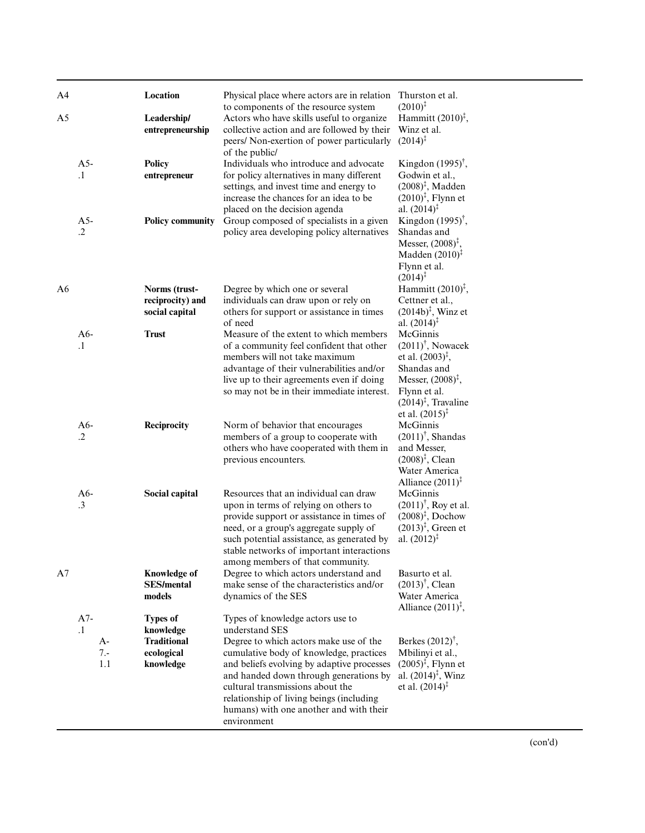| A <sub>4</sub> |                                          | Location                                                                      | Physical place where actors are in relation<br>to components of the resource system                                                                                                                                                                                                                                                                                       | Thurston et al.<br>$(2010)^{\ddagger}$                                                                                                                                                                    |
|----------------|------------------------------------------|-------------------------------------------------------------------------------|---------------------------------------------------------------------------------------------------------------------------------------------------------------------------------------------------------------------------------------------------------------------------------------------------------------------------------------------------------------------------|-----------------------------------------------------------------------------------------------------------------------------------------------------------------------------------------------------------|
| A <sub>5</sub> |                                          | Leadership/<br>entrepreneurship                                               | Actors who have skills useful to organize<br>collective action and are followed by their<br>peers/ Non-exertion of power particularly<br>of the public/                                                                                                                                                                                                                   | Hammitt $(2010)^{\ddagger}$ ,<br>Winz et al.<br>$(2014)^{\ddagger}$                                                                                                                                       |
|                | $A5-$<br>$\cdot$ 1                       | <b>Policy</b><br>entrepreneur                                                 | Individuals who introduce and advocate<br>for policy alternatives in many different<br>settings, and invest time and energy to<br>increase the chances for an idea to be                                                                                                                                                                                                  | Kingdon $(1995)^{\dagger}$ ,<br>Godwin et al.,<br>$(2008)^{\ddagger}$ , Madden<br>$(2010)^{\ddagger}$ , Flynn et                                                                                          |
|                | $A5-$<br>$\cdot$                         | <b>Policy community</b>                                                       | placed on the decision agenda<br>Group composed of specialists in a given<br>policy area developing policy alternatives                                                                                                                                                                                                                                                   | al. $(2014)^{\ddagger}$<br>Kingdon $(1995)^{\dagger}$ ,<br>Shandas and<br>Messer, $(2008)^{\ddagger}$ ,<br>Madden $(2010)^{\ddagger}$<br>Flynn et al.<br>$(2014)^{\ddagger}$                              |
| A6             |                                          | Norms (trust-<br>reciprocity) and<br>social capital                           | Degree by which one or several<br>individuals can draw upon or rely on<br>others for support or assistance in times<br>of need                                                                                                                                                                                                                                            | Hammitt $(2010)^{\ddagger}$ ,<br>Cettner et al.,<br>$(2014b)^{\ddagger}$ , Winz et<br>al. $(2014)^{\ddagger}$                                                                                             |
|                | $A6-$<br>$\cdot$ 1                       | <b>Trust</b>                                                                  | Measure of the extent to which members<br>of a community feel confident that other<br>members will not take maximum<br>advantage of their vulnerabilities and/or<br>live up to their agreements even if doing<br>so may not be in their immediate interest.                                                                                                               | McGinnis<br>$(2011)^{\dagger}$ , Nowacek<br>et al. $(2003)^{\ddagger}$ ,<br>Shandas and<br>Messer, $(2008)^{\ddagger}$ ,<br>Flynn et al.<br>$(2014)^{\ddagger}$ , Travaline<br>et al. $(2015)^{\ddagger}$ |
|                | $A6-$<br>$\cdot$                         | Reciprocity                                                                   | Norm of behavior that encourages<br>members of a group to cooperate with<br>others who have cooperated with them in<br>previous encounters.                                                                                                                                                                                                                               | McGinnis<br>$(2011)^{\dagger}$ , Shandas<br>and Messer,<br>$(2008)^{\ddagger}$ , Clean<br>Water America<br>Alliance $(2011)^{\ddagger}$                                                                   |
|                | $A6-$<br>$\cdot$ 3                       | Social capital                                                                | Resources that an individual can draw<br>upon in terms of relying on others to<br>provide support or assistance in times of<br>need, or a group's aggregate supply of<br>such potential assistance, as generated by<br>stable networks of important interactions<br>among members of that community.                                                                      | McGinnis<br>$(2011)^{\dagger}$ , Roy et al.<br>$(2008)^{\ddagger}$ , Dochow<br>$(2013)^{\ddagger}$ , Green et<br>al. $(2012)^{\ddagger}$                                                                  |
| A7             |                                          | <b>Knowledge of</b><br><b>SES/mental</b><br>models                            | Degree to which actors understand and<br>make sense of the characteristics and/or<br>dynamics of the SES                                                                                                                                                                                                                                                                  | Basurto et al.<br>$(2013)^{\dagger}$ , Clean<br>Water America<br>Alliance $(2011)^{\ddagger}$ ,                                                                                                           |
|                | $A7-$<br>$\cdot$ 1<br>A-<br>$7 -$<br>1.1 | <b>Types of</b><br>knowledge<br><b>Traditional</b><br>ecological<br>knowledge | Types of knowledge actors use to<br>understand SES<br>Degree to which actors make use of the<br>cumulative body of knowledge, practices<br>and beliefs evolving by adaptive processes<br>and handed down through generations by<br>cultural transmissions about the<br>relationship of living beings (including<br>humans) with one another and with their<br>environment | Berkes $(2012)^{\dagger}$ ,<br>Mbilinyi et al.,<br>$(2005)^{\ddagger}$ , Flynn et<br>al. $(2014)^{\ddagger}$ , Winz<br>et al. $(2014)^{\ddagger}$                                                         |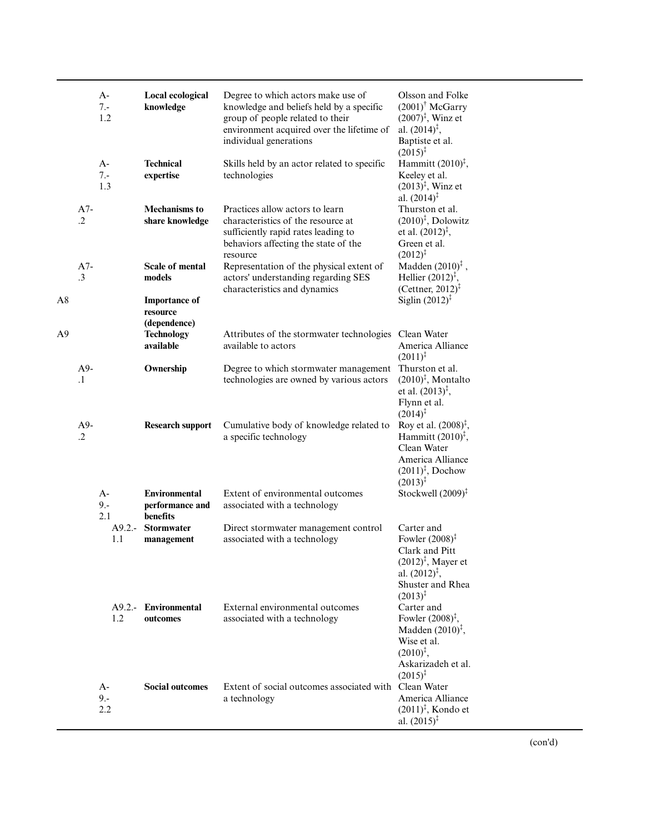|    |                     | $A-$<br>$7. -$<br>1.2 | Local ecological<br>knowledge                                        | Degree to which actors make use of<br>knowledge and beliefs held by a specific<br>group of people related to their<br>environment acquired over the lifetime of<br>individual generations | Olsson and Folke<br>$(2001)$ <sup>†</sup> McGarry<br>$(2007)^{\ddagger}$ , Winz et<br>al. $(2014)^{\ddagger}$ ,<br>Baptiste et al.<br>$(2015)^{\ddagger}$            |
|----|---------------------|-----------------------|----------------------------------------------------------------------|-------------------------------------------------------------------------------------------------------------------------------------------------------------------------------------------|----------------------------------------------------------------------------------------------------------------------------------------------------------------------|
|    |                     | A-<br>$7 -$<br>1.3    | <b>Technical</b><br>expertise                                        | Skills held by an actor related to specific<br>technologies                                                                                                                               | Hammitt $(2010)^{\ddagger}$ ,<br>Keeley et al.<br>$(2013)^{\ddagger}$ , Winz et<br>al. $(2014)^{\ddagger}$                                                           |
|    | $A7-$<br>$\cdot$ .2 |                       | <b>Mechanisms to</b><br>share knowledge                              | Practices allow actors to learn<br>characteristics of the resource at<br>sufficiently rapid rates leading to<br>behaviors affecting the state of the<br>resource                          | Thurston et al.<br>$(2010)^{\ddagger}$ , Dolowitz<br>et al. $(2012)^{\ddagger}$ ,<br>Green et al.<br>$(2012)^{\ddagger}$                                             |
| A8 | $A7-$<br>$\cdot$ 3  |                       | <b>Scale of mental</b><br>models<br><b>Importance of</b><br>resource | Representation of the physical extent of<br>actors' understanding regarding SES<br>characteristics and dynamics                                                                           | Madden $(2010)^{\ddagger}$ ,<br>Hellier $(2012)^{\ddagger}$ ,<br>(Cettner, 2012) <sup><math>\ddagger</math></sup><br>Siglin $(2012)^{\ddagger}$                      |
| A9 |                     |                       | (dependence)<br><b>Technology</b><br>available                       | Attributes of the stormwater technologies<br>available to actors                                                                                                                          | Clean Water<br>America Alliance<br>$(2011)^{\ddagger}$                                                                                                               |
|    | A9-<br>$\cdot$ 1    |                       | Ownership                                                            | Degree to which stormwater management<br>technologies are owned by various actors                                                                                                         | Thurston et al.<br>$(2010)^{\ddagger}$ , Montalto<br>et al. $(2013)^{\ddagger}$ ,<br>Flynn et al.<br>$(2014)^{\ddagger}$                                             |
|    | $A9-$<br>$\cdot$ .2 |                       | <b>Research support</b>                                              | Cumulative body of knowledge related to<br>a specific technology                                                                                                                          | Roy et al. $(2008)^{\ddagger}$ ,<br>Hammitt $(2010)^{\ddagger}$ ,<br>Clean Water<br>America Alliance<br>$(2011)^{\ddagger}$ , Dochow<br>$(2013)^{\ddagger}$          |
|    |                     | $A-$<br>$9 -$<br>2.1  | <b>Environmental</b><br>performance and<br><b>benefits</b>           | Extent of environmental outcomes<br>associated with a technology                                                                                                                          | Stockwell $(2009)^{\ddagger}$                                                                                                                                        |
|    |                     | $A9.2 -$<br>1.1       | <b>Stormwater</b><br>management                                      | Direct stormwater management control<br>associated with a technology                                                                                                                      | Carter and<br>Fowler $(2008)^{\ddagger}$<br>Clark and Pitt<br>$(2012)^{\ddagger}$ , Mayer et<br>al. $(2012)^{\ddagger}$ ,<br>Shuster and Rhea<br>$(2013)^{\ddagger}$ |
|    |                     | 1.2                   | A9.2.- Environmental<br>outcomes                                     | External environmental outcomes<br>associated with a technology                                                                                                                           | Carter and<br>Fowler $(2008)^{\ddagger}$ ,<br>Madden $(2010)^{\ddagger}$ ,<br>Wise et al.<br>$(2010)^{\ddagger}$ ,<br>Askarizadeh et al.<br>$(2015)^{\ddagger}$      |
|    |                     | A-<br>$9 -$<br>2.2    | <b>Social outcomes</b>                                               | Extent of social outcomes associated with Clean Water<br>a technology                                                                                                                     | America Alliance<br>$(2011)^{\ddagger}$ , Kondo et<br>al. $(2015)^{\ddagger}$                                                                                        |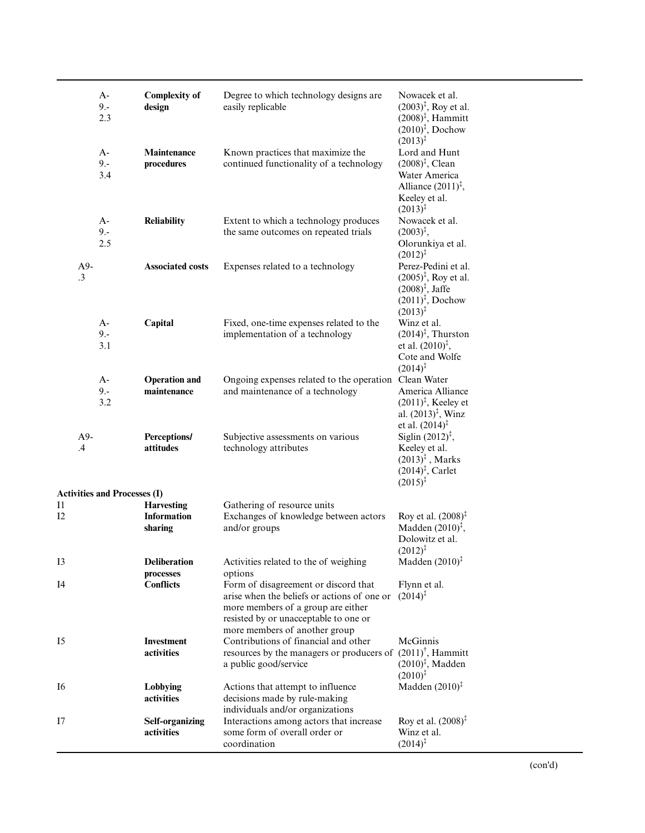|                        | $A-$<br>$9. -$<br>2.3               | <b>Complexity of</b><br>design                       | Degree to which technology designs are<br>easily replicable                                                                                                                                                                                             | Nowacek et al.<br>$(2003)^{\ddagger}$ , Roy et al.<br>$(2008)^{\ddagger}$ , Hammitt<br>$(2010)^{\ddagger}$ , Dochow<br>$(2013)^{\ddagger}$    |
|------------------------|-------------------------------------|------------------------------------------------------|---------------------------------------------------------------------------------------------------------------------------------------------------------------------------------------------------------------------------------------------------------|-----------------------------------------------------------------------------------------------------------------------------------------------|
|                        | $A-$<br>$9 -$<br>3.4                | Maintenance<br>procedures                            | Known practices that maximize the<br>continued functionality of a technology                                                                                                                                                                            | Lord and Hunt<br>$(2008)^{\ddagger}$ , Clean<br>Water America<br>Alliance $(2011)^{\ddagger}$ ,<br>Keeley et al.<br>$(2013)^{\ddagger}$       |
|                        | $A-$<br>$9 -$<br>2.5                | <b>Reliability</b>                                   | Extent to which a technology produces<br>the same outcomes on repeated trials                                                                                                                                                                           | Nowacek et al.<br>$(2003)^{\ddagger}$ ,<br>Olorunkiya et al.<br>$(2012)^{\ddagger}$                                                           |
| A9-<br>$\cdot$ 3       |                                     | <b>Associated costs</b>                              | Expenses related to a technology                                                                                                                                                                                                                        | Perez-Pedini et al.<br>$(2005)^{\ddagger}$ , Roy et al.<br>$(2008)^{\ddagger}$ , Jaffe<br>$(2011)^{\ddagger}$ , Dochow<br>$(2013)^{\ddagger}$ |
|                        | $A-$<br>$9. -$<br>3.1               | Capital                                              | Fixed, one-time expenses related to the<br>implementation of a technology                                                                                                                                                                               | Winz et al.<br>$(2014)^{\ddagger}$ , Thurston<br>et al. $(2010)^{\ddagger}$ ,<br>Cote and Wolfe<br>$(2014)^{\ddagger}$                        |
|                        | $A-$<br>$9 -$<br>3.2                | <b>Operation and</b><br>maintenance                  | Ongoing expenses related to the operation Clean Water<br>and maintenance of a technology                                                                                                                                                                | America Alliance<br>$(2011)^{\ddagger}$ , Keeley et<br>al. $(2013)^{\ddagger}$ , Winz<br>et al. $(2014)^{\ddagger}$                           |
| $A9-$<br>$\mathcal{A}$ |                                     | <b>Perceptions/</b><br>attitudes                     | Subjective assessments on various<br>technology attributes                                                                                                                                                                                              | Siglin $(2012)^{\ddagger}$ ,<br>Keeley et al.<br>$(2013)^{\ddagger}$ , Marks<br>$(2014)^{\ddagger}$ , Carlet<br>$(2015)^{\ddagger}$           |
|                        | <b>Activities and Processes (I)</b> |                                                      |                                                                                                                                                                                                                                                         |                                                                                                                                               |
| 11<br>12               |                                     | <b>Harvesting</b><br><b>Information</b><br>sharing   | Gathering of resource units<br>Exchanges of knowledge between actors<br>and/or groups                                                                                                                                                                   | Roy et al. $(2008)^{\ddagger}$<br>Madden $(2010)^{\ddagger}$ ,<br>Dolowitz et al.<br>$(2012)^{\ddagger}$                                      |
| I <sub>3</sub><br>I4   |                                     | <b>Deliberation</b><br>processes<br><b>Conflicts</b> | Activities related to the of weighing<br>options<br>Form of disagreement or discord that<br>arise when the beliefs or actions of one or<br>more members of a group are either<br>resisted by or unacceptable to one or<br>more members of another group | Madden $(2010)^{\ddagger}$<br>Flynn et al.<br>$(2014)^{3}$                                                                                    |
| 15                     |                                     | <b>Investment</b><br>activities                      | Contributions of financial and other<br>resources by the managers or producers of $(2011)^{\dagger}$ , Hammitt<br>a public good/service                                                                                                                 | McGinnis<br>$(2010)^{\ddagger}$ , Madden<br>$(2010)^{\ddagger}$                                                                               |
| I6                     |                                     | Lobbying<br>activities                               | Actions that attempt to influence<br>decisions made by rule-making<br>individuals and/or organizations                                                                                                                                                  | Madden $(2010)^{\ddagger}$                                                                                                                    |
| I7                     |                                     | <b>Self-organizing</b><br>activities                 | Interactions among actors that increase<br>some form of overall order or<br>coordination                                                                                                                                                                | Roy et al. $(2008)^{\ddagger}$<br>Winz et al.<br>$(2014)^{\ddagger}$                                                                          |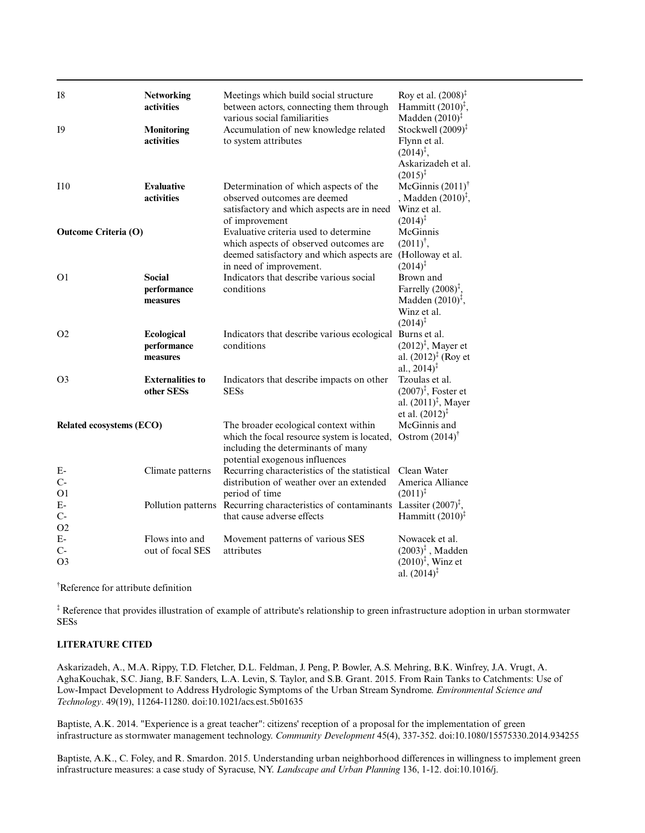| I8                             | <b>Networking</b><br>activities          | Meetings which build social structure<br>between actors, connecting them through<br>various social familiarities                                             | Roy et al. $(2008)^{\ddagger}$<br>Hammitt $(2010)^{\ddagger}$ ,<br>Madden $(2010)^{\ddagger}$                                     |
|--------------------------------|------------------------------------------|--------------------------------------------------------------------------------------------------------------------------------------------------------------|-----------------------------------------------------------------------------------------------------------------------------------|
| 19                             | <b>Monitoring</b><br>activities          | Accumulation of new knowledge related<br>to system attributes                                                                                                | Stockwell $(2009)^{\ddagger}$<br>Flynn et al.<br>$(2014)^{\ddagger}$ ,<br>Askarizadeh et al.<br>$(2015)^{\ddagger}$               |
| I10                            | <b>Evaluative</b><br>activities          | Determination of which aspects of the<br>observed outcomes are deemed<br>satisfactory and which aspects are in need<br>of improvement                        | McGinnis $(2011)$ <sup>†</sup><br>, Madden $(2010)^{\ddagger}$ ,<br>Winz et al.<br>$(2014)^{\ddagger}$                            |
| <b>Outcome Criteria (O)</b>    |                                          | Evaluative criteria used to determine<br>which aspects of observed outcomes are<br>deemed satisfactory and which aspects are<br>in need of improvement.      | McGinnis<br>$(2011)^{\dagger}$ ,<br>(Holloway et al.<br>$(2014)^{\ddagger}$                                                       |
| O <sub>1</sub>                 | <b>Social</b><br>performance<br>measures | Indicators that describe various social<br>conditions                                                                                                        | Brown and<br>Farrelly $(2008)^{\ddagger}$ ,<br>Madden $(2010)^{\ddagger}$ ,<br>Winz et al.<br>$(2014)^{\ddagger}$                 |
| O <sub>2</sub>                 | Ecological<br>performance<br>measures    | Indicators that describe various ecological<br>conditions                                                                                                    | Burns et al.<br>$(2012)^{\ddagger}$ , Mayer et<br>al. $(2012)^{\ddagger}$ (Roy et<br>al., $2014$ <sup><math>\ddagger</math></sup> |
| O <sub>3</sub>                 | <b>Externalities to</b><br>other SESs    | Indicators that describe impacts on other<br><b>SESs</b>                                                                                                     | Tzoulas et al.<br>$(2007)^{\ddagger}$ , Foster et<br>al. $(2011)^{\ddagger}$ , Mayer<br>et al. $(2012)^{\ddagger}$                |
| Related ecosystems (ECO)       |                                          | The broader ecological context within<br>which the focal resource system is located,<br>including the determinants of many<br>potential exogenous influences | McGinnis and<br>Ostrom $(2014)$ <sup>†</sup>                                                                                      |
| E-<br>$C-$<br>O <sub>1</sub>   | Climate patterns                         | Recurring characteristics of the statistical<br>distribution of weather over an extended<br>period of time                                                   | Clean Water<br>America Alliance<br>$(2011)^{\ddagger}$                                                                            |
| $E-$<br>$C-$<br>O <sub>2</sub> |                                          | Pollution patterns Recurring characteristics of contaminants Lassiter $(2007)^{\ddagger}$ ,<br>that cause adverse effects                                    | Hammitt $(2010)^{\ddagger}$                                                                                                       |
| $E-$<br>$C-$<br>O <sub>3</sub> | Flows into and<br>out of focal SES       | Movement patterns of various SES<br>attributes                                                                                                               | Nowacek et al.<br>$(2003)^{\ddagger}$ , Madden<br>$(2010)^{\ddagger}$ , Winz et<br>al. $(2014)^{\ddagger}$                        |

†Reference for attribute definition

‡ Reference that provides illustration of example of attribute's relationship to green infrastructure adoption in urban stormwater SESs

# **LITERATURE CITED**

Askarizadeh, A., M.A. Rippy, T.D. Fletcher, D.L. Feldman, J. Peng, P. Bowler, A.S. Mehring, B.K. Winfrey, J.A. Vrugt, A. AghaKouchak, S.C. Jiang, B.F. Sanders, L.A. Levin, S. Taylor, and S.B. Grant. 2015. From Rain Tanks to Catchments: Use of Low-Impact Development to Address Hydrologic Symptoms of the Urban Stream Syndrome. *Environmental Science and Technology*. 49(19), 11264-11280. doi:10.1021/acs.est.5b01635

Baptiste, A.K. 2014. "Experience is a great teacher": citizens' reception of a proposal for the implementation of green infrastructure as stormwater management technology. *Community Development* 45(4), 337-352. doi:10.1080/15575330.2014.934255

Baptiste, A.K., C. Foley, and R. Smardon. 2015. Understanding urban neighborhood differences in willingness to implement green infrastructure measures: a case study of Syracuse, NY. *Landscape and Urban Planning* 136, 1-12. doi:10.1016/j.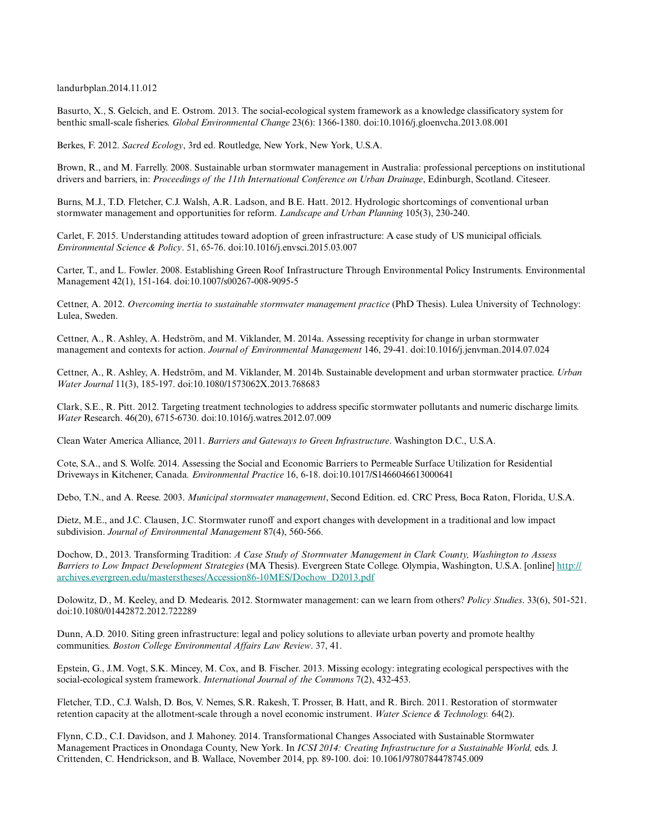landurbplan.2014.11.012

Basurto, X., S. Gelcich, and E. Ostrom. 2013. The social-ecological system framework as a knowledge classificatory system for benthic small-scale fisheries. *Global Environmental Change* 23(6): 1366-1380. doi:10.1016/j.gloenvcha.2013.08.001

Berkes, F. 2012. *Sacred Ecology*, 3rd ed. Routledge, New York, New York, U.S.A.

Brown, R., and M. Farrelly. 2008. Sustainable urban stormwater management in Australia: professional perceptions on institutional drivers and barriers, in: *Proceedings of the 11th International Conference on Urban Drainage*, Edinburgh, Scotland. Citeseer.

Burns, M.J., T.D. Fletcher, C.J. Walsh, A.R. Ladson, and B.E. Hatt. 2012. Hydrologic shortcomings of conventional urban stormwater management and opportunities for reform. *Landscape and Urban Planning* 105(3), 230-240.

Carlet, F. 2015. Understanding attitudes toward adoption of green infrastructure: A case study of US municipal officials. *Environmental Science & Policy*. 51, 65-76. doi:10.1016/j.envsci.2015.03.007

Carter, T., and L. Fowler. 2008. Establishing Green Roof Infrastructure Through Environmental Policy Instruments. Environmental Management 42(1), 151-164. doi:10.1007/s00267-008-9095-5

Cettner, A. 2012. *Overcoming inertia to sustainable stormwater management practice* (PhD Thesis). Lulea University of Technology: Lulea, Sweden.

Cettner, A., R. Ashley, A. Hedström, and M. Viklander, M. 2014a. Assessing receptivity for change in urban stormwater management and contexts for action. *Journal of Environmental Management* 146, 29-41. doi:10.1016/j.jenvman.2014.07.024

Cettner, A., R. Ashley, A. Hedström, and M. Viklander, M. 2014b. Sustainable development and urban stormwater practice. *Urban Water Journal* 11(3), 185-197. doi:10.1080/1573062X.2013.768683

Clark, S.E., R. Pitt. 2012. Targeting treatment technologies to address specific stormwater pollutants and numeric discharge limits. *Water* Research. 46(20), 6715-6730. doi:10.1016/j.watres.2012.07.009

Clean Water America Alliance, 2011. *Barriers and Gateways to Green Infrastructure*. Washington D.C., U.S.A.

Cote, S.A., and S. Wolfe. 2014. Assessing the Social and Economic Barriers to Permeable Surface Utilization for Residential Driveways in Kitchener, Canada*. Environmental Practice* 16, 6-18. doi:10.1017/S1466046613000641

Debo, T.N., and A. Reese. 2003. *Municipal stormwater management*, Second Edition. ed. CRC Press, Boca Raton, Florida, U.S.A.

Dietz, M.E., and J.C. Clausen, J.C. Stormwater runoff and export changes with development in a traditional and low impact subdivision. *Journal of Environmental Management* 87(4), 560-566.

Dochow, D., 2013. Transforming Tradition: *A Case Study of Stormwater Management in Clark County, Washington to Assess Barriers to Low Impact Development Strategies* (MA Thesis). Evergreen State College. Olympia, Washington, U.S.A. [online] [http://](http://archives.evergreen.edu/masterstheses/Accession86-10MES/Dochow_D2013.pdf) [archives.evergreen.edu/masterstheses/Accession86-10MES/Dochow\\_D2013.pdf](http://archives.evergreen.edu/masterstheses/Accession86-10MES/Dochow_D2013.pdf)

Dolowitz, D., M. Keeley, and D. Medearis. 2012. Stormwater management: can we learn from others? *Policy Studies*. 33(6), 501-521. doi:10.1080/01442872.2012.722289

Dunn, A.D. 2010. Siting green infrastructure: legal and policy solutions to alleviate urban poverty and promote healthy communities. *Boston College Environmental Affairs Law Review*. 37, 41.

Epstein, G., J.M. Vogt, S.K. Mincey, M. Cox, and B. Fischer. 2013. Missing ecology: integrating ecological perspectives with the social-ecological system framework. *International Journal of the Commons* 7(2), 432-453.

Fletcher, T.D., C.J. Walsh, D. Bos, V. Nemes, S.R. Rakesh, T. Prosser, B. Hatt, and R. Birch. 2011. Restoration of stormwater retention capacity at the allotment-scale through a novel economic instrument. *Water Science & Technology.* 64(2).

Flynn, C.D., C.I. Davidson, and J. Mahoney. 2014. Transformational Changes Associated with Sustainable Stormwater Management Practices in Onondaga County, New York. In *ICSI 2014: Creating Infrastructure for a Sustainable World,* eds. J. Crittenden, C. Hendrickson, and B. Wallace, November 2014, pp. 89-100. doi: 10.1061/9780784478745.009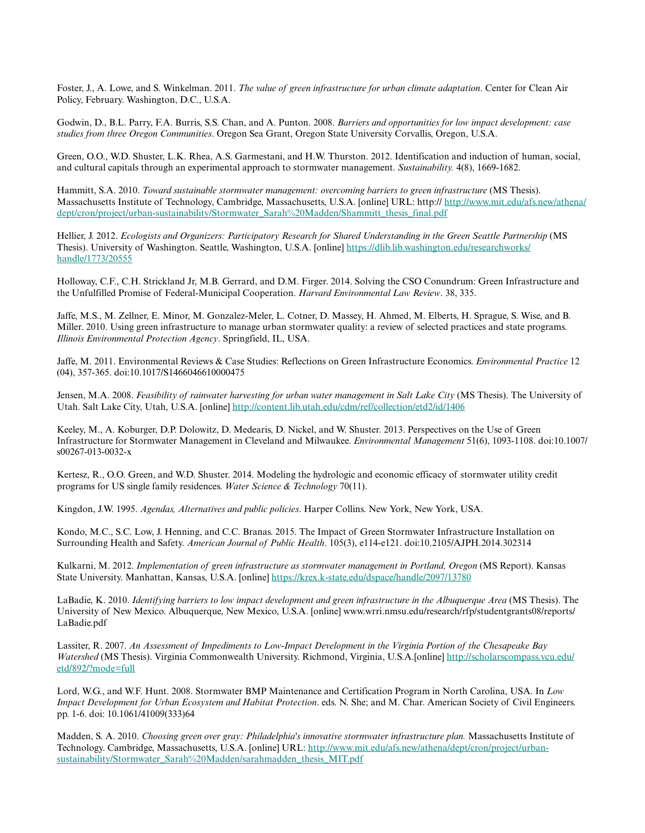Foster, J., A. Lowe, and S. Winkelman. 2011. *The value of green infrastructure for urban climate adaptation*. Center for Clean Air Policy, February. Washington, D.C., U.S.A.

Godwin, D., B.L. Parry, F.A. Burris, S.S. Chan, and A. Punton. 2008. *Barriers and opportunities for low impact development: case studies from three Oregon Communities*. Oregon Sea Grant, Oregon State University Corvallis, Oregon, U.S.A.

Green, O.O., W.D. Shuster, L.K. Rhea, A.S. Garmestani, and H.W. Thurston. 2012. Identification and induction of human, social, and cultural capitals through an experimental approach to stormwater management. *Sustainability.* 4(8), 1669-1682.

Hammitt, S.A. 2010. *Toward sustainable stormwater management: overcoming barriers to green infrastructure* (MS Thesis). Massachusetts Institute of Technology, Cambridge, Massachusetts, U.S.A. [online] URL: http:// [http://www.mit.edu/afs.new/athena/](http://www.mit.edu/afs.new/athena/dept/cron/project/urban-sustainability/Stormwater_Sarah%20Madden/Shammitt_thesis_final.pdf) [dept/cron/project/urban-sustainability/Stormwater\\_Sarah%20Madden/Shammitt\\_thesis\\_final.pdf](http://www.mit.edu/afs.new/athena/dept/cron/project/urban-sustainability/Stormwater_Sarah%20Madden/Shammitt_thesis_final.pdf)

Hellier, J. 2012. *Ecologists and Organizers: Participatory Research for Shared Understanding in the Green Seattle Partnership* (MS Thesis). University of Washington. Seattle, Washington, U.S.A. [online] [https://dlib.lib.washington.edu/researchworks/](https://dlib.lib.washington.edu/researchworks/handle/1773/20555) [handle/1773/20555](https://dlib.lib.washington.edu/researchworks/handle/1773/20555)

Holloway, C.F., C.H. Strickland Jr, M.B. Gerrard, and D.M. Firger. 2014. Solving the CSO Conundrum: Green Infrastructure and the Unfulfilled Promise of Federal-Municipal Cooperation. *Harvard Environmental Law Review*. 38, 335.

Jaffe, M.S., M. Zellner, E. Minor, M. Gonzalez-Meler, L. Cotner, D. Massey, H. Ahmed, M. Elberts, H. Sprague, S. Wise, and B. Miller. 2010. Using green infrastructure to manage urban stormwater quality: a review of selected practices and state programs. *Illinois Environmental Protection Agency*. Springfield, IL, USA.

Jaffe, M. 2011. Environmental Reviews & Case Studies: Reflections on Green Infrastructure Economics. *Environmental Practice* 12 (04), 357-365. doi:10.1017/S1466046610000475

Jensen, M.A. 2008. *Feasibility of rainwater harvesting for urban water management in Salt Lake City* (MS Thesis). The University of Utah. Salt Lake City, Utah, U.S.A. [online] <http://content.lib.utah.edu/cdm/ref/collection/etd2/id/1406>

Keeley, M., A. Koburger, D.P. Dolowitz, D. Medearis, D. Nickel, and W. Shuster. 2013. Perspectives on the Use of Green Infrastructure for Stormwater Management in Cleveland and Milwaukee. *Environmental Management* 51(6), 1093-1108. doi:10.1007/ s00267-013-0032-x

Kertesz, R., O.O. Green, and W.D. Shuster. 2014. Modeling the hydrologic and economic efficacy of stormwater utility credit programs for US single family residences. *Water Science & Technology* 70(11).

Kingdon, J.W. 1995. *Agendas, Alternatives and public policies*. Harper Collins. New York, New York, USA.

Kondo, M.C., S.C. Low, J. Henning, and C.C. Branas. 2015. The Impact of Green Stormwater Infrastructure Installation on Surrounding Health and Safety. *American Journal of Public Health*. 105(3), e114-e121. doi:10.2105/AJPH.2014.302314

Kulkarni, M. 2012. *Implementation of green infrastructure as stormwater management in Portland, Oregon* (MS Report). Kansas State University. Manhattan, Kansas, U.S.A. [online] <https://krex.k-state.edu/dspace/handle/2097/13780>

LaBadie, K. 2010. *Identifying barriers to low impact development and green infrastructure in the Albuquerque Area* (MS Thesis). The University of New Mexico. Albuquerque, New Mexico, U.S.A. [online] www.wrri.nmsu.edu/research/rfp/studentgrants08/reports/ LaBadie.pdf

Lassiter, R. 2007. *An Assessment of Impediments to Low-Impact Development in the Virginia Portion of the Chesapeake Bay Watershed* (MS Thesis). Virginia Commonwealth University. Richmond, Virginia, U.S.A.[online] [http://scholarscompass.vcu.edu/](http://scholarscompass.vcu.edu/etd/892/?mode=full) [etd/892/?mode=full](http://scholarscompass.vcu.edu/etd/892/?mode=full)

Lord, W.G., and W.F. Hunt. 2008. Stormwater BMP Maintenance and Certification Program in North Carolina, USA. In *Low Impact Development for Urban Ecosystem and Habitat Protection*. eds. N. She; and M. Char. American Society of Civil Engineers. pp. 1-6. doi: 10.1061/41009(333)64

Madden, S. A. 2010. *Choosing green over gray: Philadelphia's innovative stormwater infrastructure plan.* Massachusetts Institute of Technology. Cambridge, Massachusetts, U.S.A. [online] URL: [http://www.mit.edu/afs.new/athena/dept/cron/project/urban](http://www.mit.edu/afs.new/athena/dept/cron/project/urban-sustainability/Stormwater_Sarah%20Madden/sarahmadden_thesis_MIT.pdf)[sustainability/Stormwater\\_Sarah%20Madden/sarahmadden\\_thesis\\_MIT.pdf](http://www.mit.edu/afs.new/athena/dept/cron/project/urban-sustainability/Stormwater_Sarah%20Madden/sarahmadden_thesis_MIT.pdf)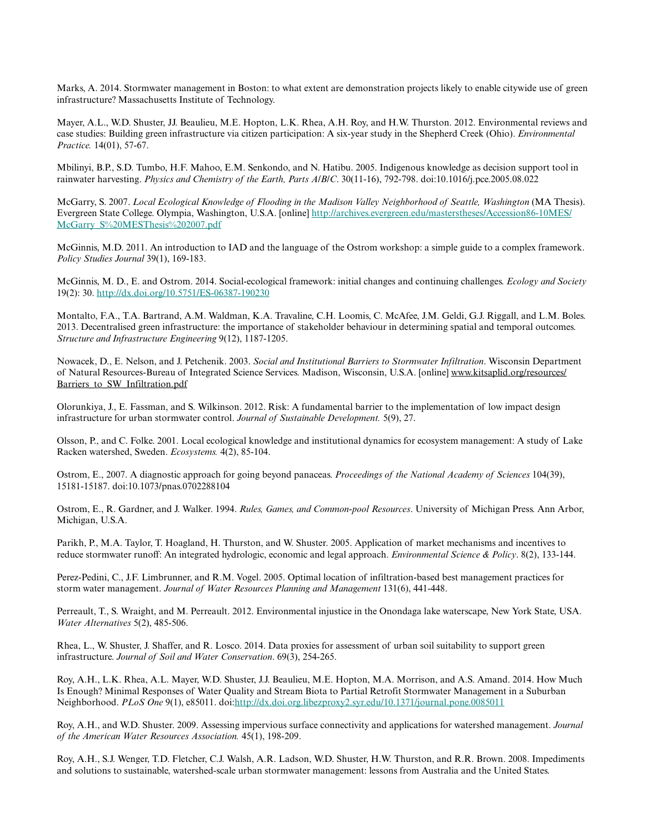Marks, A. 2014. Stormwater management in Boston: to what extent are demonstration projects likely to enable citywide use of green infrastructure? Massachusetts Institute of Technology.

Mayer, A.L., W.D. Shuster, JJ. Beaulieu, M.E. Hopton, L.K. Rhea, A.H. Roy, and H.W. Thurston. 2012. Environmental reviews and case studies: Building green infrastructure via citizen participation: A six-year study in the Shepherd Creek (Ohio). *Environmental Practice.* 14(01), 57-67.

Mbilinyi, B.P., S.D. Tumbo, H.F. Mahoo, E.M. Senkondo, and N. Hatibu. 2005. Indigenous knowledge as decision support tool in rainwater harvesting. *Physics and Chemistry of the Earth, Parts A/B/C*. 30(11-16), 792-798. doi:10.1016/j.pce.2005.08.022

McGarry, S. 2007. *Local Ecological Knowledge of Flooding in the Madison Valley Neighborhood of Seattle, Washington* (MA Thesis). Evergreen State College. Olympia, Washington, U.S.A. [online] [http://archives.evergreen.edu/masterstheses/Accession86-10MES/](http://archives.evergreen.edu/masterstheses/Accession86-10MES/McGarry_S%20MESThesis%202007.pdf) [McGarry\\_S%20MESThesis%202007.pdf](http://archives.evergreen.edu/masterstheses/Accession86-10MES/McGarry_S%20MESThesis%202007.pdf)

McGinnis, M.D. 2011. An introduction to IAD and the language of the Ostrom workshop: a simple guide to a complex framework. *Policy Studies Journal* 39(1), 169-183.

McGinnis, M. D., E. and Ostrom. 2014. Social-ecological framework: initial changes and continuing challenges. *Ecology and Society* 19(2): 30. <http://dx.doi.org/10.5751/ES-06387-190230>

Montalto, F.A., T.A. Bartrand, A.M. Waldman, K.A. Travaline, C.H. Loomis, C. McAfee, J.M. Geldi, G.J. Riggall, and L.M. Boles. 2013. Decentralised green infrastructure: the importance of stakeholder behaviour in determining spatial and temporal outcomes. *Structure and Infrastructure Engineering* 9(12), 1187-1205.

Nowacek, D., E. Nelson, and J. Petchenik. 2003. *Social and Institutional Barriers to Stormwater Infiltration*. Wisconsin Department of Natural Resources-Bureau of Integrated Science Services. Madison, Wisconsin, U.S.A. [online] www.kitsaplid.org/resources/ Barriers to SW Infiltration.pdf

Olorunkiya, J., E. Fassman, and S. Wilkinson. 2012. Risk: A fundamental barrier to the implementation of low impact design infrastructure for urban stormwater control. *Journal of Sustainable Development.* 5(9), 27.

Olsson, P., and C. Folke. 2001. Local ecological knowledge and institutional dynamics for ecosystem management: A study of Lake Racken watershed, Sweden. *Ecosystems.* 4(2), 85-104.

Ostrom, E., 2007. A diagnostic approach for going beyond panaceas. *Proceedings of the National Academy of Sciences* 104(39), 15181-15187. doi:10.1073/pnas.0702288104

Ostrom, E., R. Gardner, and J. Walker. 1994. *Rules, Games, and Common-pool Resources*. University of Michigan Press. Ann Arbor, Michigan, U.S.A.

Parikh, P., M.A. Taylor, T. Hoagland, H. Thurston, and W. Shuster. 2005. Application of market mechanisms and incentives to reduce stormwater runoff: An integrated hydrologic, economic and legal approach. *Environmental Science & Policy*. 8(2), 133-144.

Perez-Pedini, C., J.F. Limbrunner, and R.M. Vogel. 2005. Optimal location of infiltration-based best management practices for storm water management. *Journal of Water Resources Planning and Management* 131(6), 441-448.

Perreault, T., S. Wraight, and M. Perreault. 2012. Environmental injustice in the Onondaga lake waterscape, New York State, USA. *Water Alternatives* 5(2), 485-506.

Rhea, L., W. Shuster, J. Shaffer, and R. Losco. 2014. Data proxies for assessment of urban soil suitability to support green infrastructure. *Journal of Soil and Water Conservation*. 69(3), 254-265.

Roy, A.H., L.K. Rhea, A.L. Mayer, W.D. Shuster, J.J. Beaulieu, M.E. Hopton, M.A. Morrison, and A.S. Amand. 2014. How Much Is Enough? Minimal Responses of Water Quality and Stream Biota to Partial Retrofit Stormwater Management in a Suburban Neighborhood. *PLoS One* 9(1), e85011. doi:<http://dx.doi.org.libezproxy2.syr.edu/10.1371/journal.pone.0085011>

Roy, A.H., and W.D. Shuster. 2009. Assessing impervious surface connectivity and applications for watershed management. *Journal of the American Water Resources Association.* 45(1), 198-209.

Roy, A.H., S.J. Wenger, T.D. Fletcher, C.J. Walsh, A.R. Ladson, W.D. Shuster, H.W. Thurston, and R.R. Brown. 2008. Impediments and solutions to sustainable, watershed-scale urban stormwater management: lessons from Australia and the United States.